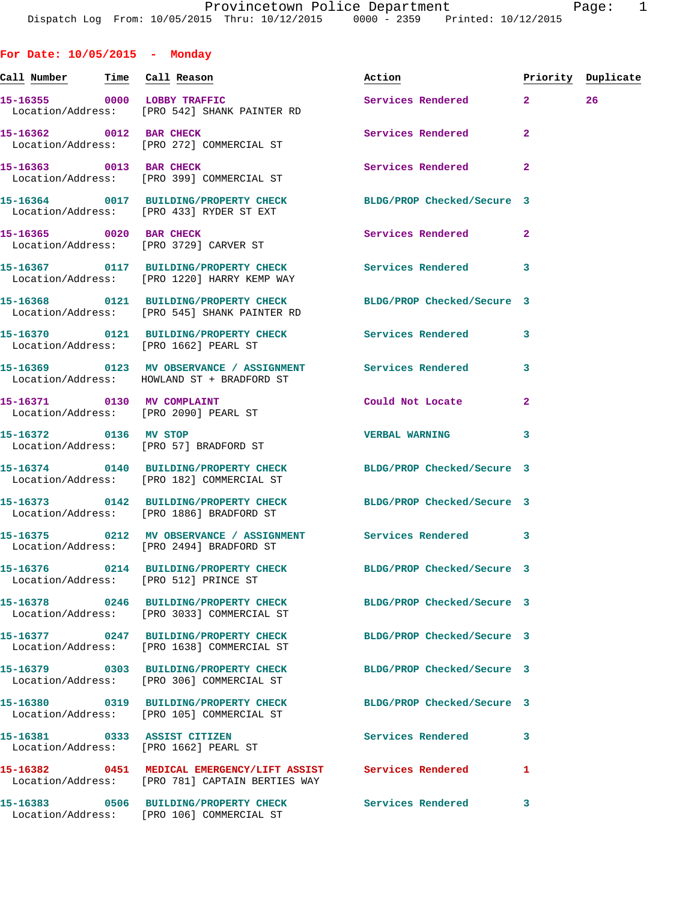**For Date: 10/05/2015 - Monday Call Number Time Call Reason Action Priority Duplicate 15-16355 0000 LOBBY TRAFFIC Services Rendered 2 26**  Location/Address: [PRO 542] SHANK PAINTER RD **15-16362 0012 BAR CHECK Services Rendered 2**  Location/Address: [PRO 272] COMMERCIAL ST **15-16363 0013 BAR CHECK Services Rendered 2**  Location/Address: [PRO 399] COMMERCIAL ST **15-16364 0017 BUILDING/PROPERTY CHECK BLDG/PROP Checked/Secure 3**  Location/Address: [PRO 433] RYDER ST EXT **15-16365 0020 BAR CHECK Services Rendered 2**  Location/Address: [PRO 3729] CARVER ST **15-16367 0117 BUILDING/PROPERTY CHECK Services Rendered 3**  Location/Address: [PRO 1220] HARRY KEMP WAY **15-16368 0121 BUILDING/PROPERTY CHECK BLDG/PROP Checked/Secure 3**  Location/Address: [PRO 545] SHANK PAINTER RD **15-16370 0121 BUILDING/PROPERTY CHECK Services Rendered 3**  Location/Address: [PRO 1662] PEARL ST **15-16369 0123 MV OBSERVANCE / ASSIGNMENT Services Rendered 3**  Location/Address: HOWLAND ST + BRADFORD ST **15-16371 0130 MV COMPLAINT Could Not Locate 2**  Location/Address: [PRO 2090] PEARL ST **15-16372 0136 MV STOP VERBAL WARNING 3**  Location/Address: [PRO 57] BRADFORD ST **15-16374 0140 BUILDING/PROPERTY CHECK BLDG/PROP Checked/Secure 3**  Location/Address: [PRO 182] COMMERCIAL ST **15-16373 0142 BUILDING/PROPERTY CHECK BLDG/PROP Checked/Secure 3**  Location/Address: [PRO 1886] BRADFORD ST **15-16375 0212 MV OBSERVANCE / ASSIGNMENT Services Rendered 3**  Location/Address: [PRO 2494] BRADFORD ST **15-16376 0214 BUILDING/PROPERTY CHECK BLDG/PROP Checked/Secure 3**  Location/Address: [PRO 512] PRINCE ST **15-16378 0246 BUILDING/PROPERTY CHECK BLDG/PROP Checked/Secure 3**  Location/Address: [PRO 3033] COMMERCIAL ST **15-16377 0247 BUILDING/PROPERTY CHECK BLDG/PROP Checked/Secure 3**  Location/Address: [PRO 1638] COMMERCIAL ST **15-16379 0303 BUILDING/PROPERTY CHECK BLDG/PROP Checked/Secure 3**  Location/Address: [PRO 306] COMMERCIAL ST

**15-16380 0319 BUILDING/PROPERTY CHECK BLDG/PROP Checked/Secure 3**  Location/Address: [PRO 105] COMMERCIAL ST **15-16381 0333 ASSIST CITIZEN Services Rendered 3**  Location/Address: [PRO 1662] PEARL ST **15-16382 0451 MEDICAL EMERGENCY/LIFT ASSIST Services Rendered 1**  Location/Address: [PRO 781] CAPTAIN BERTIES WAY **15-16383 0506 BUILDING/PROPERTY CHECK Services Rendered 3**  Location/Address: [PRO 106] COMMERCIAL ST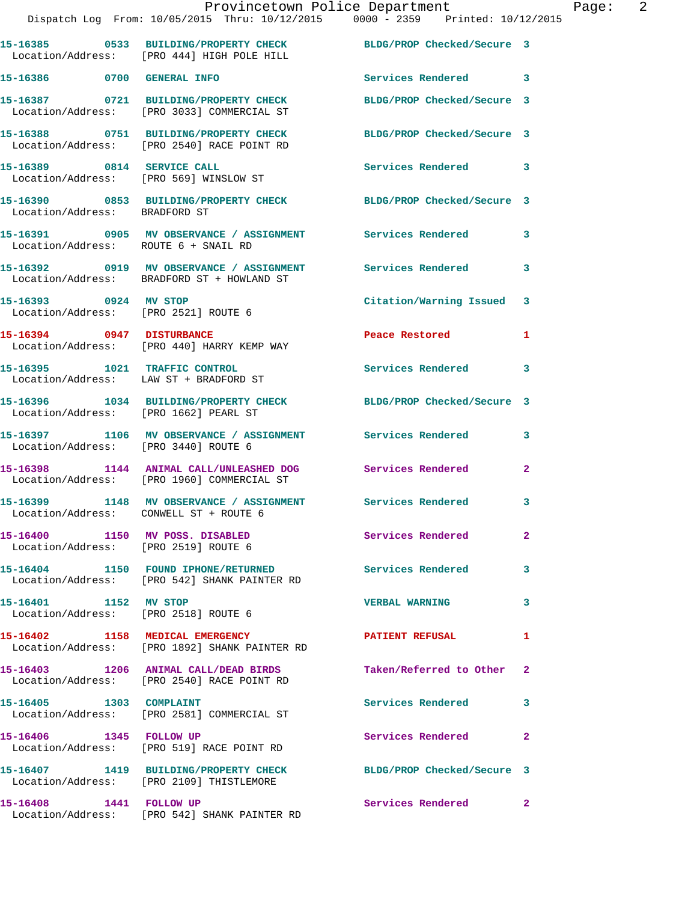|                                                                         | Provincetown Police Department<br>Dispatch Log From: 10/05/2015 Thru: 10/12/2015 0000 - 2359 Printed: 10/12/2015 |                            |                |
|-------------------------------------------------------------------------|------------------------------------------------------------------------------------------------------------------|----------------------------|----------------|
|                                                                         | 15-16385 0533 BUILDING/PROPERTY CHECK BLDG/PROP Checked/Secure 3<br>Location/Address: [PRO 444] HIGH POLE HILL   |                            |                |
| 15-16386 0700 GENERAL INFO                                              |                                                                                                                  | Services Rendered 3        |                |
|                                                                         | 15-16387 0721 BUILDING/PROPERTY CHECK BLDG/PROP Checked/Secure 3<br>Location/Address: [PRO 3033] COMMERCIAL ST   |                            |                |
|                                                                         | 15-16388 0751 BUILDING/PROPERTY CHECK<br>Location/Address: [PRO 2540] RACE POINT RD                              | BLDG/PROP Checked/Secure 3 |                |
| 15-16389 0814 SERVICE CALL                                              | Location/Address: [PRO 569] WINSLOW ST                                                                           | Services Rendered 3        |                |
|                                                                         | 15-16390 0853 BUILDING/PROPERTY CHECK BLDG/PROP Checked/Secure 3<br>Location/Address: BRADFORD ST                |                            |                |
| Location/Address: ROUTE 6 + SNAIL RD                                    | 15-16391 0905 MV OBSERVANCE / ASSIGNMENT Services Rendered                                                       |                            | 3              |
|                                                                         | 15-16392 0919 MV OBSERVANCE / ASSIGNMENT Services Rendered<br>Location/Address: BRADFORD ST + HOWLAND ST         |                            | 3              |
| 15-16393 0924 MV STOP<br>Location/Address: [PRO 2521] ROUTE 6           |                                                                                                                  | Citation/Warning Issued    | 3              |
| 15-16394 0947 DISTURBANCE                                               | Location/Address: [PRO 440] HARRY KEMP WAY                                                                       | Peace Restored             | 1              |
| Location/Address: LAW ST + BRADFORD ST                                  | 15-16395 1021 TRAFFIC CONTROL                                                                                    | Services Rendered          | 3              |
| Location/Address: [PRO 1662] PEARL ST                                   | 15-16396 1034 BUILDING/PROPERTY CHECK BLDG/PROP Checked/Secure 3                                                 |                            |                |
| Location/Address: [PRO 3440] ROUTE 6                                    | 15-16397 1106 MV OBSERVANCE / ASSIGNMENT Services Rendered                                                       |                            | 3              |
|                                                                         | 15-16398 1144 ANIMAL CALL/UNLEASHED DOG Services Rendered<br>Location/Address: [PRO 1960] COMMERCIAL ST          |                            | $\mathbf{2}$   |
| Location/Address: CONWELL ST + ROUTE 6                                  | 15-16399 1148 MV OBSERVANCE / ASSIGNMENT                                                                         | Services Rendered          | 3              |
| 15-16400 1150 MV POSS. DISABLED<br>Location/Address: [PRO 2519] ROUTE 6 |                                                                                                                  | Services Rendered          | $\mathbf{2}$   |
|                                                                         | 15-16404 1150 FOUND IPHONE/RETURNED<br>Location/Address: [PRO 542] SHANK PAINTER RD                              | Services Rendered          | 3              |
| 15-16401 1152 MV STOP                                                   | Location/Address: [PRO 2518] ROUTE 6                                                                             | <b>VERBAL WARNING</b>      | 3              |
|                                                                         | 15-16402 1158 MEDICAL EMERGENCY<br>Location/Address: [PRO 1892] SHANK PAINTER RD                                 | <b>PATIENT REFUSAL</b>     | 1              |
|                                                                         | 15-16403 1206 ANIMAL CALL/DEAD BIRDS<br>Location/Address: [PRO 2540] RACE POINT RD                               | Taken/Referred to Other    | $\mathbf{2}$   |
| 15-16405    1303    COMPLAINT                                           | Location/Address: [PRO 2581] COMMERCIAL ST                                                                       | Services Rendered          | 3              |
| 15-16406 1345 FOLLOW UP                                                 | Location/Address: [PRO 519] RACE POINT RD                                                                        | Services Rendered          | $\overline{2}$ |
|                                                                         | 15-16407 1419 BUILDING/PROPERTY CHECK<br>Location/Address: [PRO 2109] THISTLEMORE                                | BLDG/PROP Checked/Secure 3 |                |
| 15-16408 1441 FOLLOW UP                                                 |                                                                                                                  | Services Rendered          | 2              |

Location/Address: [PRO 542] SHANK PAINTER RD

Page: 2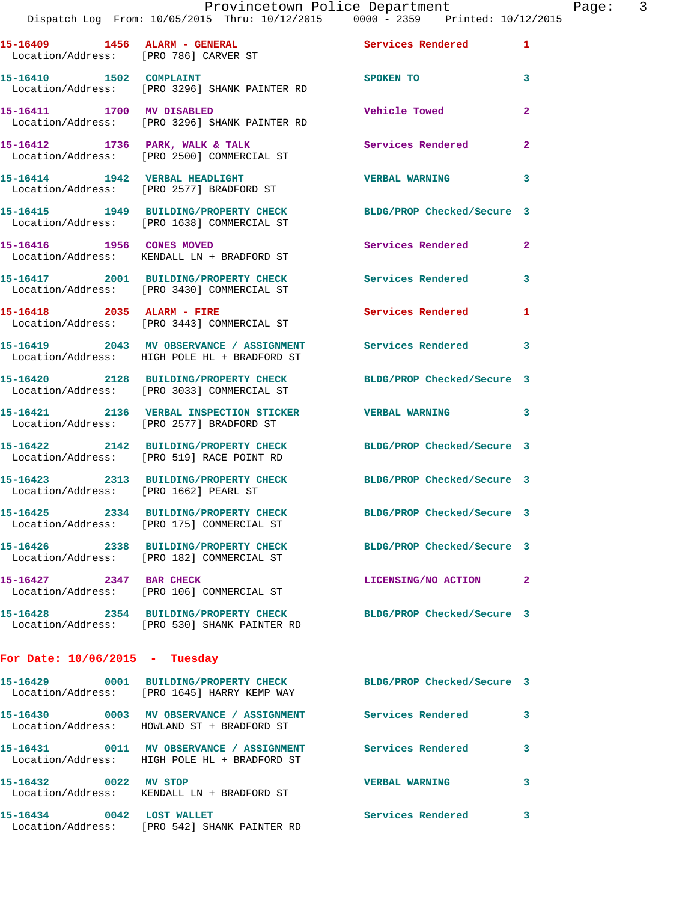|                                                                                |  | Provincetown Police Department |  | Page: |  |
|--------------------------------------------------------------------------------|--|--------------------------------|--|-------|--|
| Dispatch Log From: 10/05/2015 Thru: 10/12/2015 0000 - 2359 Printed: 10/12/2015 |  |                                |  |       |  |
|                                                                                |  |                                |  |       |  |

| 15-16409 1456 ALARM - GENERAL<br>Location/Address: [PRO 786] CARVER ST |                                                                                                            | <b>Services Rendered</b>   | $\mathbf{1}$   |
|------------------------------------------------------------------------|------------------------------------------------------------------------------------------------------------|----------------------------|----------------|
| 15-16410   1502   COMPLAINT                                            | Location/Address: [PRO 3296] SHANK PAINTER RD                                                              | SPOKEN TO                  | 3              |
| 15-16411 1700 MV DISABLED                                              | Location/Address: [PRO 3296] SHANK PAINTER RD                                                              | <b>Vehicle Towed</b>       | $\overline{2}$ |
| 15-16412 1736 PARK, WALK & TALK                                        | Location/Address: [PRO 2500] COMMERCIAL ST                                                                 | Services Rendered          | $\overline{a}$ |
|                                                                        | 15-16414 1942 VERBAL HEADLIGHT<br>Location/Address: [PRO 2577] BRADFORD ST                                 | <b>VERBAL WARNING</b>      | 3              |
|                                                                        | 15-16415 1949 BUILDING/PROPERTY CHECK<br>Location/Address: [PRO 1638] COMMERCIAL ST                        | BLDG/PROP Checked/Secure 3 |                |
| 15-16416   1956   CONES MOVED                                          | Location/Address: KENDALL LN + BRADFORD ST                                                                 | Services Rendered          | $\overline{2}$ |
|                                                                        | 15-16417 2001 BUILDING/PROPERTY CHECK<br>Location/Address: [PRO 3430] COMMERCIAL ST                        | <b>Services Rendered</b>   | 3              |
| 15-16418 2035 ALARM - FIRE                                             | Location/Address: [PRO 3443] COMMERCIAL ST                                                                 | <b>Services Rendered</b>   | 1              |
|                                                                        | 15-16419 2043 MV OBSERVANCE / ASSIGNMENT<br>Location/Address: HIGH POLE HL + BRADFORD ST                   | Services Rendered          | 3              |
|                                                                        | 15-16420 2128 BUILDING/PROPERTY CHECK<br>Location/Address: [PRO 3033] COMMERCIAL ST                        | BLDG/PROP Checked/Secure 3 |                |
|                                                                        | 15-16421 2136 VERBAL INSPECTION STICKER<br>Location/Address: [PRO 2577] BRADFORD ST                        | <b>VERBAL WARNING</b>      | 3              |
|                                                                        | 15-16422 2142 BUILDING/PROPERTY CHECK<br>Location/Address: [PRO 519] RACE POINT RD                         | BLDG/PROP Checked/Secure 3 |                |
| Location/Address: [PRO 1662] PEARL ST                                  | 15-16423 2313 BUILDING/PROPERTY CHECK                                                                      | BLDG/PROP Checked/Secure 3 |                |
|                                                                        | 15-16425 2334 BUILDING/PROPERTY CHECK<br>Location/Address: [PRO 175] COMMERCIAL ST                         | BLDG/PROP Checked/Secure 3 |                |
|                                                                        | 15-16426 2338 BUILDING/PROPERTY CHECK<br>Location/Address: [PRO 182] COMMERCIAL ST                         | BLDG/PROP Checked/Secure 3 |                |
| 15-16427 2347 BAR CHECK                                                | Location/Address: [PRO 106] COMMERCIAL ST                                                                  | LICENSING/NO ACTION        | 2              |
|                                                                        | 15-16428 2354 BUILDING/PROPERTY CHECK<br>Location/Address: [PRO 530] SHANK PAINTER RD                      | BLDG/PROP Checked/Secure 3 |                |
| For Date: $10/06/2015$ - Tuesday                                       |                                                                                                            |                            |                |
|                                                                        | 15-16429 0001 BUILDING/PROPERTY CHECK<br>Location/Address: [PRO 1645] HARRY KEMP WAY                       | BLDG/PROP Checked/Secure 3 |                |
|                                                                        | 15-16430 0003 MV OBSERVANCE / ASSIGNMENT<br>Location/Address: HOWLAND ST + BRADFORD ST                     | <b>Services Rendered</b>   | 3              |
|                                                                        | 15-16431 0011 MV OBSERVANCE / ASSIGNMENT Services Rendered<br>Location/Address: HIGH POLE HL + BRADFORD ST |                            | 3              |
| 15-16432 0022 MV STOP                                                  | Location/Address: KENDALL LN + BRADFORD ST                                                                 | <b>VERBAL WARNING</b>      | 3              |
|                                                                        |                                                                                                            |                            |                |

**15-16434 0042 LOST WALLET Services Rendered 3** 

Location/Address: [PRO 542] SHANK PAINTER RD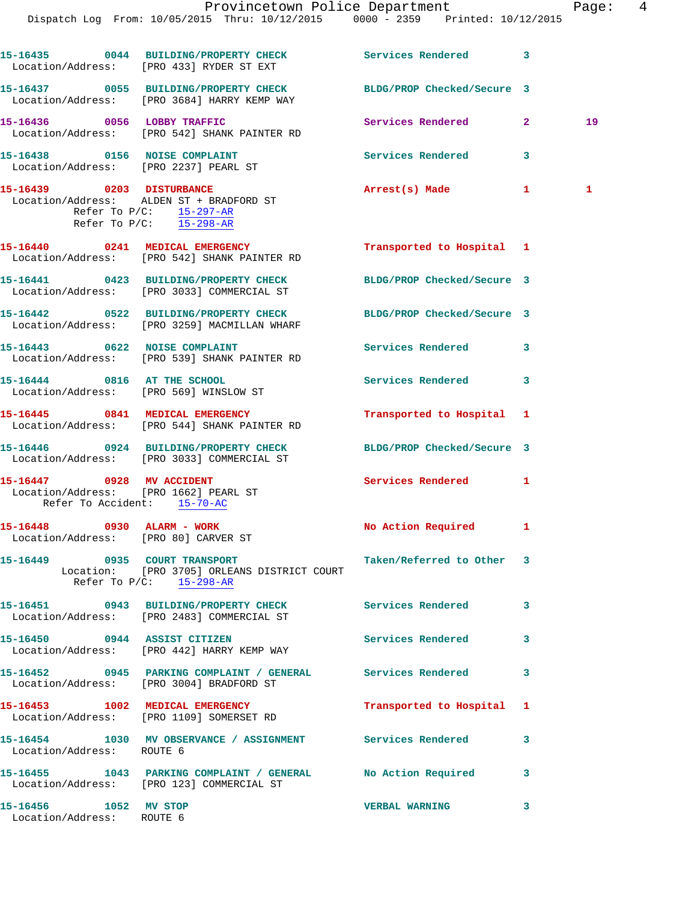| 15-16438<br>Location/Address: | 0156 | <b>NOISE COMPLAINT</b><br>[PRO 2237] PEARL ST | Services Rendered | - 31 |  |
|-------------------------------|------|-----------------------------------------------|-------------------|------|--|
| 15-16439                      | 0203 | <b>DISTURBANCE</b>                            | Arrest(s) Made    | п.   |  |

 Location/Address: ALDEN ST + BRADFORD ST Refer To  $P/C$ :  $\frac{15-297-AR}{2}$ Refer To P/C: 15-298-AR

- **15-16440 0241 MEDICAL EMERGENCY Transported to Hospital 1**  Location/Address: [PRO 542] SHANK PAINTER RD **15-16441 0423 BUILDING/PROPERTY CHECK BLDG/PROP Checked/Secure 3**  Location/Address: [PRO 3033] COMMERCIAL ST
- **15-16442 0522 BUILDING/PROPERTY CHECK BLDG/PROP Checked/Secure 3**  Location/Address: [PRO 3259] MACMILLAN WHARF
- **15-16443 0622 NOISE COMPLAINT Services Rendered 3**  Location/Address: [PRO 539] SHANK PAINTER RD
- **15-16444 0816 AT THE SCHOOL Services Rendered 3**  Location/Address: [PRO 569] WINSLOW ST
- **15-16445 0841 MEDICAL EMERGENCY Transported to Hospital 1**  Location/Address: [PRO 544] SHANK PAINTER RD
- **15-16446 0924 BUILDING/PROPERTY CHECK BLDG/PROP Checked/Secure 3**  Location/Address: [PRO 3033] COMMERCIAL ST
- 15-16447 0928 MV ACCIDENT Services Rendered 1 Location/Address: [PRO 1662] PEARL ST Refer To Accident: 15-70-AC
- 15-16448 0930 ALARM WORK No Action Required 1 Location/Address: [PRO 80] CARVER ST
- **15-16449 0935 COURT TRANSPORT Taken/Referred to Other 3**  Location: [PRO 3705] ORLEANS DISTRICT COURT Refer To  $P/C$ :  $15-298-R$
- **15-16451 0943 BUILDING/PROPERTY CHECK Services Rendered 3**  Location/Address: [PRO 2483] COMMERCIAL ST **15-16450 0944 ASSIST CITIZEN Services Rendered 3** 
	- Location/Address: [PRO 442] HARRY KEMP WAY
	- **15-16452 0945 PARKING COMPLAINT / GENERAL Services Rendered 3**  Location/Address: [PRO 3004] BRADFORD ST
	- **15-16453 1002 MEDICAL EMERGENCY Transported to Hospital 1**  Location/Address: [PRO 1109] SOMERSET RD
	- **15-16454 1030 MV OBSERVANCE / ASSIGNMENT Services Rendered 3**  Location/Address: ROUTE 6
- **15-16455 1043 PARKING COMPLAINT / GENERAL No Action Required 3**  Location/Address: [PRO 123] COMMERCIAL ST
- **15-16456 1052 MV STOP VERBAL WARNING 3**  Location/Address: ROUTE 6
-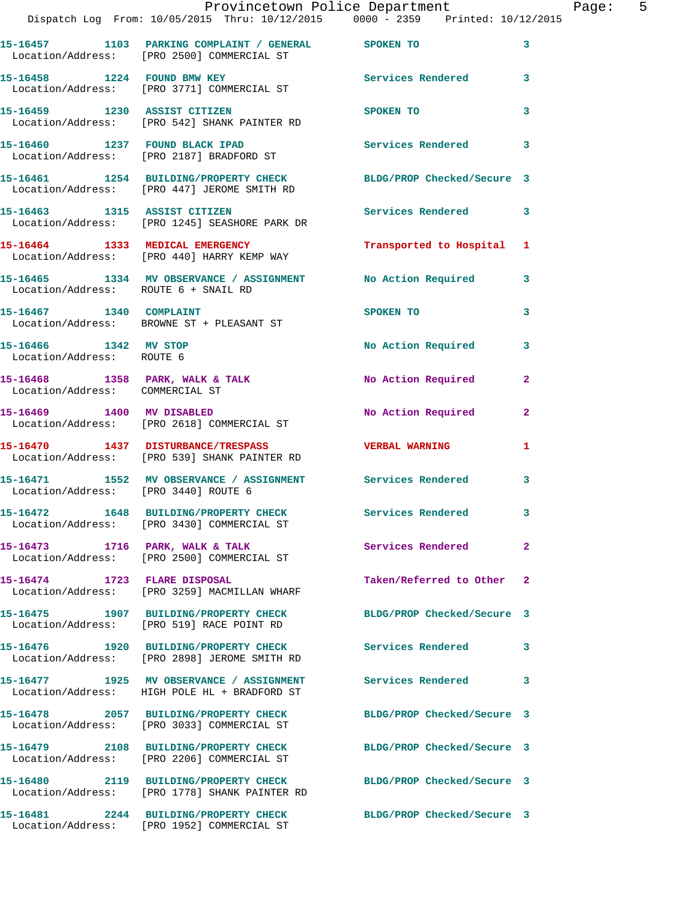|                                                    | Provincetown Police Department The Rage: 5<br>Dispatch Log From: 10/05/2015 Thru: 10/12/2015 0000 - 2359 Printed: 10/12/2015 |                            |                         |  |
|----------------------------------------------------|------------------------------------------------------------------------------------------------------------------------------|----------------------------|-------------------------|--|
|                                                    | 15-16457 1103 PARKING COMPLAINT / GENERAL SPOKEN TO<br>Location/Address: [PRO 2500] COMMERCIAL ST                            |                            | 3                       |  |
|                                                    | 15-16458 1224 FOUND BMW KEY Services Rendered 3<br>Location/Address: [PRO 3771] COMMERCIAL ST                                |                            |                         |  |
|                                                    | 15-16459 1230 ASSIST CITIZEN<br>Location/Address: [PRO 542] SHANK PAINTER RD                                                 | SPOKEN TO                  | 3                       |  |
|                                                    | 15-16460 1237 FOUND BLACK IPAD<br>Location/Address: [PRO 2187] BRADFORD ST                                                   | Services Rendered          | $\mathbf{3}$            |  |
|                                                    | 15-16461 1254 BUILDING/PROPERTY CHECK BLDG/PROP Checked/Secure 3<br>Location/Address: [PRO 447] JEROME SMITH RD              |                            |                         |  |
|                                                    | 15-16463 1315 ASSIST CITIZEN<br>Location/Address: [PRO 1245] SEASHORE PARK DR                                                | Services Rendered          | $\mathbf{3}$            |  |
|                                                    | 15-16464 1333 MEDICAL EMERGENCY<br>Location/Address: [PRO 440] HARRY KEMP WAY                                                | Transported to Hospital 1  |                         |  |
|                                                    | 15-16465 1334 MV OBSERVANCE / ASSIGNMENT No Action Required 3<br>Location/Address: ROUTE 6 + SNAIL RD                        |                            |                         |  |
|                                                    | 15-16467    1340    COMPLAINT<br>Location/Address: BROWNE ST + PLEASANT ST                                                   | SPOKEN TO                  | $\overline{\mathbf{3}}$ |  |
| 15-16466 1342 MV STOP<br>Location/Address: ROUTE 6 |                                                                                                                              | No Action Required         | 3                       |  |
| Location/Address: COMMERCIAL ST                    | 15-16468 1358 PARK, WALK & TALK 1988 No Action Required                                                                      |                            | $\mathbf{2}$            |  |
|                                                    | 15-16469 1400 MV DISABLED<br>Location/Address: [PRO 2618] COMMERCIAL ST                                                      | No Action Required         | $\mathbf{2}$            |  |
|                                                    | 15-16470 1437 DISTURBANCE/TRESPASS VERBAL WARNING<br>Location/Address: [PRO 539] SHANK PAINTER RD                            |                            | 1                       |  |
|                                                    | 15-16471 1552 MV OBSERVANCE / ASSIGNMENT Services Rendered 3<br>Location/Address: [PRO 3440] ROUTE 6                         |                            |                         |  |
|                                                    | 15-16472 1648 BUILDING/PROPERTY CHECK Services Rendered<br>Location/Address: [PRO 3430] COMMERCIAL ST                        |                            |                         |  |
|                                                    | 15-16473 1716 PARK, WALK & TALK<br>Location/Address: [PRO 2500] COMMERCIAL ST                                                | Services Rendered          | $\overline{2}$          |  |
| 15-16474 1723 FLARE DISPOSAL                       | Location/Address: [PRO 3259] MACMILLAN WHARF                                                                                 | Taken/Referred to Other 2  |                         |  |
|                                                    | 15-16475 1907 BUILDING/PROPERTY CHECK BLDG/PROP Checked/Secure 3<br>Location/Address: [PRO 519] RACE POINT RD                |                            |                         |  |
|                                                    | 15-16476 1920 BUILDING/PROPERTY CHECK Services Rendered 3<br>Location/Address: [PRO 2898] JEROME SMITH RD                    |                            |                         |  |
|                                                    | 15-16477 1925 MV OBSERVANCE / ASSIGNMENT<br>Location/Address: HIGH POLE HL + BRADFORD ST                                     | <b>Services Rendered</b>   | 3                       |  |
|                                                    | 15-16478 2057 BUILDING/PROPERTY CHECK BLDG/PROP Checked/Secure 3<br>Location/Address: [PRO 3033] COMMERCIAL ST               |                            |                         |  |
|                                                    | 15-16479 2108 BUILDING/PROPERTY CHECK<br>Location/Address: [PRO 2206] COMMERCIAL ST                                          | BLDG/PROP Checked/Secure 3 |                         |  |
|                                                    | 15-16480 2119 BUILDING/PROPERTY CHECK BLDG/PROP Checked/Secure 3<br>Location/Address: [PRO 1778] SHANK PAINTER RD            |                            |                         |  |
|                                                    |                                                                                                                              | BLDG/PROP Checked/Secure 3 |                         |  |

Location/Address: [PRO 1952] COMMERCIAL ST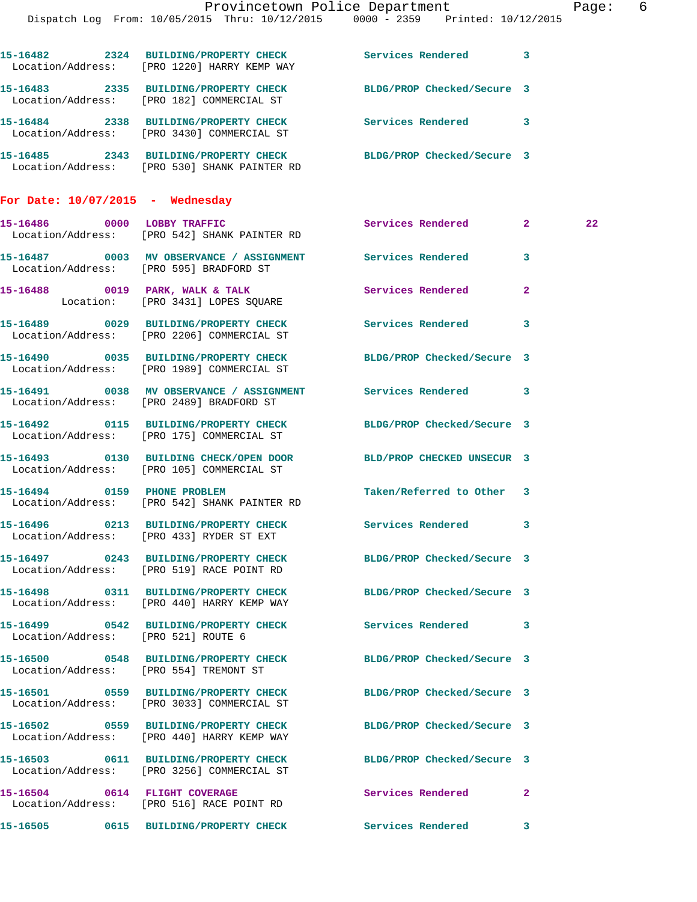|                                     |                                                                                                                      | Provincetown Police Department Page: 6 |              |  |
|-------------------------------------|----------------------------------------------------------------------------------------------------------------------|----------------------------------------|--------------|--|
|                                     | Dispatch Log From: 10/05/2015 Thru: 10/12/2015 0000 - 2359 Printed: 10/12/2015                                       |                                        |              |  |
|                                     | 15-16482 2324 BUILDING/PROPERTY CHECK Services Rendered 3<br>Location/Address: [PRO 1220] HARRY KEMP WAY             |                                        |              |  |
|                                     | 15-16483 2335 BUILDING/PROPERTY CHECK BLDG/PROP Checked/Secure 3<br>Location/Address: [PRO 182] COMMERCIAL ST        |                                        |              |  |
|                                     | 15-16484 2338 BUILDING/PROPERTY CHECK Services Rendered 3<br>Location/Address: [PRO 3430] COMMERCIAL ST              |                                        |              |  |
|                                     | 15-16485 2343 BUILDING/PROPERTY CHECK BLDG/PROP Checked/Secure 3<br>Location/Address: [PRO 530] SHANK PAINTER RD     |                                        |              |  |
| For Date: $10/07/2015$ - Wednesday  |                                                                                                                      |                                        |              |  |
|                                     | 15-16486 0000 LOBBY TRAFFIC<br>Location/Address: [PRO 542] SHANK PAINTER RD                                          | Services Rendered 2                    | 22           |  |
|                                     | 15-16487 0003 MV OBSERVANCE / ASSIGNMENT Services Rendered 3<br>Location/Address: [PRO 595] BRADFORD ST              |                                        |              |  |
|                                     | 15-16488 0019 PARK, WALK & TALK Services Rendered<br>Location: [PRO 3431] LOPES SQUARE                               |                                        | $\mathbf{2}$ |  |
|                                     | 15-16489 0029 BUILDING/PROPERTY CHECK Services Rendered 3<br>Location/Address: [PRO 2206] COMMERCIAL ST              |                                        |              |  |
|                                     | 15-16490 0035 BUILDING/PROPERTY CHECK BLDG/PROP Checked/Secure 3<br>Location/Address: [PRO 1989] COMMERCIAL ST       |                                        |              |  |
|                                     | 15-16491 0038 MV OBSERVANCE / ASSIGNMENT Services Rendered 3<br>Location/Address: [PRO 2489] BRADFORD ST             |                                        |              |  |
|                                     | 15-16492   0115   BUILDING/PROPERTY CHECK BLDG/PROP Checked/Secure 3<br>Location/Address: [PRO 175] COMMERCIAL ST    |                                        |              |  |
|                                     | 15-16493 0130 BUILDING CHECK/OPEN DOOR BLD/PROP CHECKED UNSECUR 3<br>Location/Address: [PRO 105] COMMERCIAL ST       |                                        |              |  |
|                                     | 15-16494 0159 PHONE PROBLEM<br>Location/Address: [PRO 542] SHANK PAINTER RD                                          | Taken/Referred to Other 3              |              |  |
|                                     | 15-16496 		 0213 BUILDING/PROPERTY CHECK 		 Services Rendered 3<br>Location/Address: [PRO 433] RYDER ST EXT          |                                        |              |  |
|                                     | 15-16497 0243 BUILDING/PROPERTY CHECK BLDG/PROP Checked/Secure 3<br>Location/Address: [PRO 519] RACE POINT RD        |                                        |              |  |
|                                     | 15-16498 0311 BUILDING/PROPERTY CHECK BLDG/PROP Checked/Secure 3<br>Location/Address: [PRO 440] HARRY KEMP WAY       |                                        |              |  |
| Location/Address: [PRO 521] ROUTE 6 | 15-16499 0542 BUILDING/PROPERTY CHECK Services Rendered 3                                                            |                                        |              |  |
|                                     | 15-16500 0548 BUILDING/PROPERTY CHECK BLDG/PROP Checked/Secure 3<br>Location/Address: [PRO 554] TREMONT ST           |                                        |              |  |
|                                     | 15-16501 0559 BUILDING/PROPERTY CHECK BLDG/PROP Checked/Secure 3<br>Location/Address: [PRO 3033] COMMERCIAL ST       |                                        |              |  |
|                                     | 15-16502 0559 BUILDING/PROPERTY CHECK BLDG/PROP Checked/Secure 3<br>Location/Address: [PRO 440] HARRY KEMP WAY       |                                        |              |  |
|                                     | 15-16503   0611   BUILDING/PROPERTY CHECK   BLDG/PROP Checked/Secure 3<br>Location/Address: [PRO 3256] COMMERCIAL ST |                                        |              |  |
|                                     | 15-16504 0614 FLIGHT COVERAGE<br>Location/Address: [PRO 516] RACE POINT RD                                           | Services Rendered                      | -2           |  |
|                                     | 15-16505 0615 BUILDING/PROPERTY CHECK Services Rendered 3                                                            |                                        |              |  |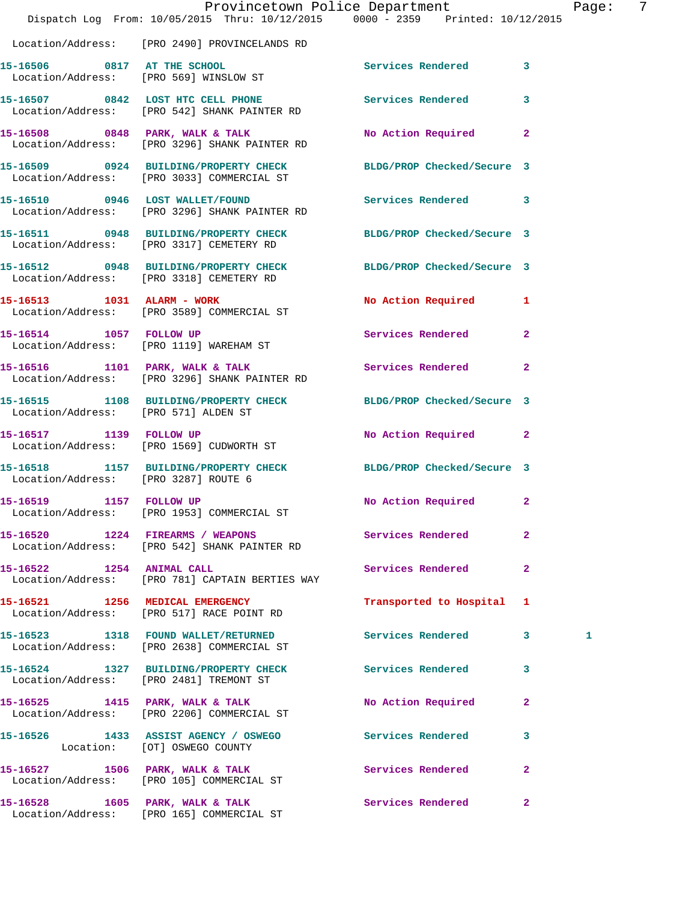|                                      | Provincetown Police Department<br>Dispatch Log From: 10/05/2015 Thru: 10/12/2015 0000 - 2359 Printed: 10/12/2015 |                            |              | Page: | -7 |
|--------------------------------------|------------------------------------------------------------------------------------------------------------------|----------------------------|--------------|-------|----|
|                                      | Location/Address: [PRO 2490] PROVINCELANDS RD                                                                    |                            |              |       |    |
|                                      | 15-16506 0817 AT THE SCHOOL<br>Location/Address: [PRO 569] WINSLOW ST                                            | Services Rendered 3        |              |       |    |
|                                      | 15-16507 0842 LOST HTC CELL PHONE Services Rendered 3<br>Location/Address: [PRO 542] SHANK PAINTER RD            |                            |              |       |    |
|                                      | 15-16508 0848 PARK, WALK & TALK<br>Location/Address: [PRO 3296] SHANK PAINTER RD                                 | No Action Required 2       |              |       |    |
|                                      | 15-16509 0924 BUILDING/PROPERTY CHECK BLDG/PROP Checked/Secure 3<br>Location/Address: [PRO 3033] COMMERCIAL ST   |                            |              |       |    |
|                                      | 15-16510 0946 LOST WALLET/FOUND<br>Location/Address: [PRO 3296] SHANK PAINTER RD                                 | <b>Services Rendered</b> 3 |              |       |    |
|                                      | 15-16511 0948 BUILDING/PROPERTY CHECK BLDG/PROP Checked/Secure 3<br>Location/Address: [PRO 3317] CEMETERY RD     |                            |              |       |    |
|                                      | 15-16512 0948 BUILDING/PROPERTY CHECK BLDG/PROP Checked/Secure 3<br>Location/Address: [PRO 3318] CEMETERY RD     |                            |              |       |    |
|                                      | 15-16513 1031 ALARM - WORK<br>Location/Address: [PRO 3589] COMMERCIAL ST                                         | No Action Required 1       |              |       |    |
|                                      | 15-16514 1057 FOLLOW UP<br>Location/Address: [PRO 1119] WAREHAM ST                                               | Services Rendered 2        |              |       |    |
|                                      | 15-16516 1101 PARK, WALK & TALK 1998 Services Rendered<br>Location/Address: [PRO 3296] SHANK PAINTER RD          |                            | $\mathbf{2}$ |       |    |
| Location/Address: [PRO 571] ALDEN ST | 15-16515 1108 BUILDING/PROPERTY CHECK BLDG/PROP Checked/Secure 3                                                 |                            |              |       |    |
|                                      | 15-16517 1139 FOLLOW UP<br>Location/Address: [PRO 1569] CUDWORTH ST                                              | No Action Required 2       |              |       |    |
| Location/Address: [PRO 3287] ROUTE 6 | 15-16518 1157 BUILDING/PROPERTY CHECK BLDG/PROP Checked/Secure 3                                                 |                            |              |       |    |
| 15-16519 1157 FOLLOW UP              | Location/Address: [PRO 1953] COMMERCIAL ST                                                                       | No Action Required         | $\mathbf{2}$ |       |    |
|                                      | 15-16520 1224 FIREARMS / WEAPONS<br>Location/Address: [PRO 542] SHANK PAINTER RD                                 | <b>Services Rendered</b>   | $\mathbf{2}$ |       |    |
| 15-16522 1254 ANIMAL CALL            | Location/Address: [PRO 781] CAPTAIN BERTIES WAY                                                                  | Services Rendered          | 2            |       |    |
|                                      | 15-16521 1256 MEDICAL EMERGENCY<br>Location/Address: [PRO 517] RACE POINT RD                                     | Transported to Hospital 1  |              |       |    |
|                                      | 15-16523 1318 FOUND WALLET/RETURNED<br>Location/Address: [PRO 2638] COMMERCIAL ST                                | Services Rendered 3        |              | 1     |    |
|                                      | 15-16524 1327 BUILDING/PROPERTY CHECK Services Rendered<br>Location/Address: [PRO 2481] TREMONT ST               |                            | 3            |       |    |
|                                      | 15-16525 1415 PARK, WALK & TALK<br>Location/Address: [PRO 2206] COMMERCIAL ST                                    | No Action Required         | 2            |       |    |
|                                      | 15-16526 1433 ASSIST AGENCY / OSWEGO Services Rendered<br>Location: [OT] OSWEGO COUNTY                           |                            | 3            |       |    |
|                                      | 15-16527 1506 PARK, WALK & TALK<br>Location/Address: [PRO 105] COMMERCIAL ST                                     | <b>Services Rendered</b>   | $\mathbf{2}$ |       |    |
|                                      | 15-16528 1605 PARK, WALK & TALK                                                                                  | Services Rendered          | $\mathbf{2}$ |       |    |

Location/Address: [PRO 165] COMMERCIAL ST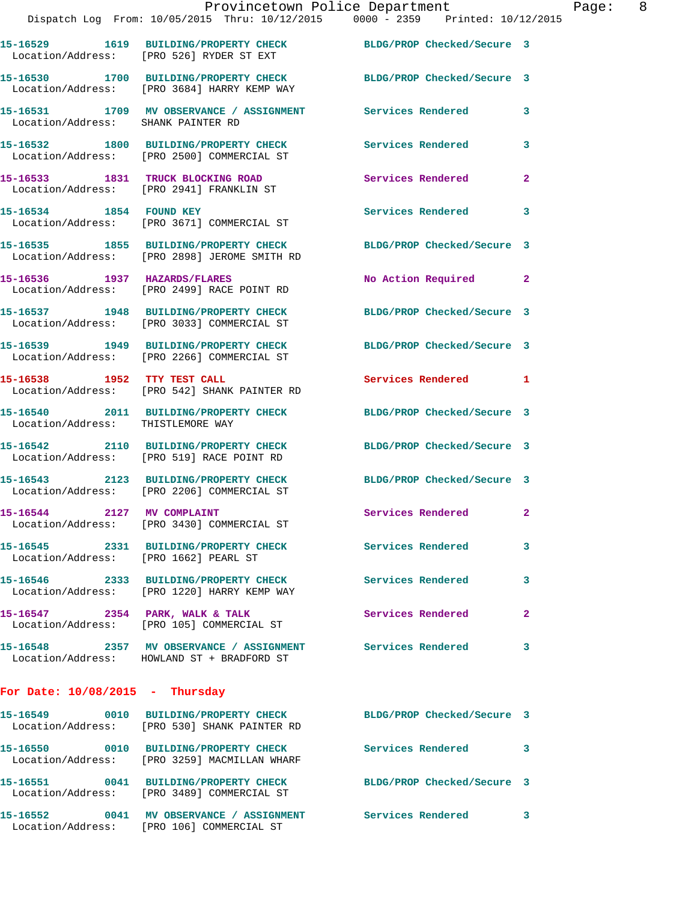|                                       | Provincetown Police Department                                                                                  |                            |                         |
|---------------------------------------|-----------------------------------------------------------------------------------------------------------------|----------------------------|-------------------------|
|                                       | Dispatch Log From: 10/05/2015 Thru: 10/12/2015 0000 - 2359 Printed: 10/12/2015                                  |                            |                         |
|                                       | 15-16529 1619 BUILDING/PROPERTY CHECK BLDG/PROP Checked/Secure 3<br>Location/Address: [PRO 526] RYDER ST EXT    |                            |                         |
|                                       | 15-16530 1700 BUILDING/PROPERTY CHECK BLDG/PROP Checked/Secure 3<br>Location/Address: [PRO 3684] HARRY KEMP WAY |                            |                         |
| Location/Address: SHANK PAINTER RD    | 15-16531 1709 MV OBSERVANCE / ASSIGNMENT Services Rendered                                                      |                            | 3                       |
|                                       | 15-16532 1800 BUILDING/PROPERTY CHECK<br>Location/Address: [PRO 2500] COMMERCIAL ST                             | Services Rendered          | 3                       |
|                                       | 15-16533 1831 TRUCK BLOCKING ROAD<br>Location/Address: [PRO 2941] FRANKLIN ST                                   | Services Rendered          | $\overline{2}$          |
| 15-16534 1854 FOUND KEY               | Location/Address: [PRO 3671] COMMERCIAL ST                                                                      | Services Rendered          | 3                       |
|                                       | 15-16535 1855 BUILDING/PROPERTY CHECK<br>Location/Address: [PRO 2898] JEROME SMITH RD                           | BLDG/PROP Checked/Secure 3 |                         |
|                                       | 15-16536 1937 HAZARDS/FLARES<br>Location/Address: [PRO 2499] RACE POINT RD                                      | No Action Required         | $\overline{a}$          |
|                                       | 15-16537 1948 BUILDING/PROPERTY CHECK<br>Location/Address: [PRO 3033] COMMERCIAL ST                             | BLDG/PROP Checked/Secure 3 |                         |
|                                       | 15-16539 1949 BUILDING/PROPERTY CHECK<br>Location/Address: [PRO 2266] COMMERCIAL ST                             | BLDG/PROP Checked/Secure 3 |                         |
| 15-16538 1952 TTY TEST CALL           | Location/Address: [PRO 542] SHANK PAINTER RD                                                                    | Services Rendered          | 1                       |
| Location/Address: THISTLEMORE WAY     | 15-16540 2011 BUILDING/PROPERTY CHECK                                                                           | BLDG/PROP Checked/Secure 3 |                         |
|                                       | 15-16542 2110 BUILDING/PROPERTY CHECK<br>Location/Address: [PRO 519] RACE POINT RD                              | BLDG/PROP Checked/Secure 3 |                         |
|                                       | 15-16543 2123 BUILDING/PROPERTY CHECK<br>Location/Address: [PRO 2206] COMMERCIAL ST                             | BLDG/PROP Checked/Secure 3 |                         |
| 15-16544 2127 MV COMPLAINT            | Location/Address: [PRO 3430] COMMERCIAL ST                                                                      | Services Rendered          | $\overline{\mathbf{2}}$ |
| Location/Address: [PRO 1662] PEARL ST | 15-16545 2331 BUILDING/PROPERTY CHECK                                                                           | Services Rendered          | 3                       |
|                                       | 15-16546 2333 BUILDING/PROPERTY CHECK<br>Location/Address: [PRO 1220] HARRY KEMP WAY                            | <b>Services Rendered</b>   | 3                       |
|                                       | 15-16547 2354 PARK, WALK & TALK<br>Location/Address: [PRO 105] COMMERCIAL ST                                    | <b>Services Rendered</b>   | $\mathbf{2}$            |
|                                       | 15-16548 2357 MV OBSERVANCE / ASSIGNMENT<br>Location/Address: HOWLAND ST + BRADFORD ST                          | <b>Services Rendered</b>   | 3                       |
| For Date: $10/08/2015$ - Thursday     |                                                                                                                 |                            |                         |
|                                       | 15-16549 0010 BUILDING/PROPERTY CHECK<br>Location/Address: [PRO 530] SHANK PAINTER RD                           | BLDG/PROP Checked/Secure 3 |                         |
|                                       | 15-16550 0010 BUILDING/PROPERTY CHECK<br>Location/Address: [PRO 3259] MACMILLAN WHARF                           | Services Rendered          | 3                       |

**15-16551 0041 BUILDING/PROPERTY CHECK BLDG/PROP Checked/Secure 3**  Location/Address: [PRO 3489] COMMERCIAL ST

**15-16552 0041 MV OBSERVANCE / ASSIGNMENT Services Rendered 3**  Location/Address: [PRO 106] COMMERCIAL ST

Page: 8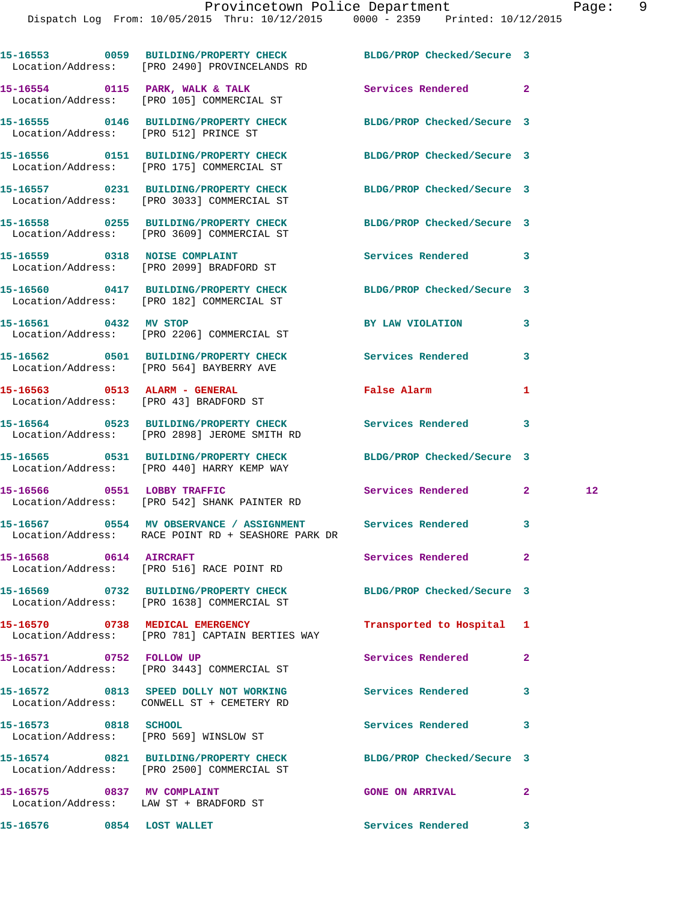|                                                                      | 15-16553 0059 BUILDING/PROPERTY CHECK BLDG/PROP Checked/Secure 3<br>Location/Address: [PRO 2490] PROVINCELANDS RD |                            |              |    |
|----------------------------------------------------------------------|-------------------------------------------------------------------------------------------------------------------|----------------------------|--------------|----|
|                                                                      | 15-16554 0115 PARK, WALK & TALK<br>Location/Address: [PRO 105] COMMERCIAL ST                                      | Services Rendered 2        |              |    |
| Location/Address: [PRO 512] PRINCE ST                                | 15-16555 0146 BUILDING/PROPERTY CHECK BLDG/PROP Checked/Secure 3                                                  |                            |              |    |
|                                                                      | 15-16556 0151 BUILDING/PROPERTY CHECK<br>Location/Address: [PRO 175] COMMERCIAL ST                                | BLDG/PROP Checked/Secure 3 |              |    |
|                                                                      | 15-16557 0231 BUILDING/PROPERTY CHECK<br>Location/Address: [PRO 3033] COMMERCIAL ST                               | BLDG/PROP Checked/Secure 3 |              |    |
|                                                                      | 15-16558 0255 BUILDING/PROPERTY CHECK<br>Location/Address: [PRO 3609] COMMERCIAL ST                               | BLDG/PROP Checked/Secure 3 |              |    |
|                                                                      | 15-16559 0318 NOISE COMPLAINT<br>Location/Address: [PRO 2099] BRADFORD ST                                         | Services Rendered 3        |              |    |
|                                                                      | 15-16560 0417 BUILDING/PROPERTY CHECK<br>Location/Address: [PRO 182] COMMERCIAL ST                                | BLDG/PROP Checked/Secure 3 |              |    |
|                                                                      | 15-16561 0432 MV STOP<br>Location/Address: [PRO 2206] COMMERCIAL ST                                               | BY LAW VIOLATION           | 3            |    |
|                                                                      | 15-16562 0501 BUILDING/PROPERTY CHECK<br>Location/Address: [PRO 564] BAYBERRY AVE                                 | Services Rendered          | 3            |    |
|                                                                      | 15-16563 0513 ALARM - GENERAL<br>Location/Address: [PRO 43] BRADFORD ST                                           | False Alarm                | 1            |    |
|                                                                      | 15-16564 0523 BUILDING/PROPERTY CHECK Services Rendered 3<br>Location/Address: [PRO 2898] JEROME SMITH RD         |                            |              |    |
|                                                                      | 15-16565 0531 BUILDING/PROPERTY CHECK<br>Location/Address: [PRO 440] HARRY KEMP WAY                               | BLDG/PROP Checked/Secure 3 |              |    |
|                                                                      | 15-16566 0551 LOBBY TRAFFIC<br>Location/Address: [PRO 542] SHANK PAINTER RD                                       | Services Rendered 2        |              | 12 |
|                                                                      | Location/Address: RACE POINT RD + SEASHORE PARK DR                                                                |                            |              |    |
|                                                                      | 15-16568 0614 AIRCRAFT<br>Location/Address: [PRO 516] RACE POINT RD                                               | <b>Services Rendered</b>   |              |    |
|                                                                      | 15-16569 0732 BUILDING/PROPERTY CHECK<br>Location/Address: [PRO 1638] COMMERCIAL ST                               | BLDG/PROP Checked/Secure 3 |              |    |
| 15-16570 0738 MEDICAL EMERGENCY                                      | Location/Address: [PRO 781] CAPTAIN BERTIES WAY                                                                   | Transported to Hospital 1  |              |    |
| 15-16571 0752 FOLLOW UP                                              | Location/Address: [PRO 3443] COMMERCIAL ST                                                                        | <b>Services Rendered</b>   | $\mathbf{2}$ |    |
|                                                                      | 15-16572 0813 SPEED DOLLY NOT WORKING<br>Location/Address: CONWELL ST + CEMETERY RD                               | <b>Services Rendered</b>   | 3            |    |
| 15-16573 0818 SCHOOL                                                 | Location/Address: [PRO 569] WINSLOW ST                                                                            | <b>Services Rendered</b>   | 3            |    |
|                                                                      | 15-16574 0821 BUILDING/PROPERTY CHECK BLDG/PROP Checked/Secure 3<br>Location/Address: [PRO 2500] COMMERCIAL ST    |                            |              |    |
| 15-16575 0837 MV COMPLAINT<br>Location/Address: LAW ST + BRADFORD ST |                                                                                                                   | <b>GONE ON ARRIVAL</b>     | $\mathbf{2}$ |    |

15-16576 0854 LOST WALLET Services Rendered 3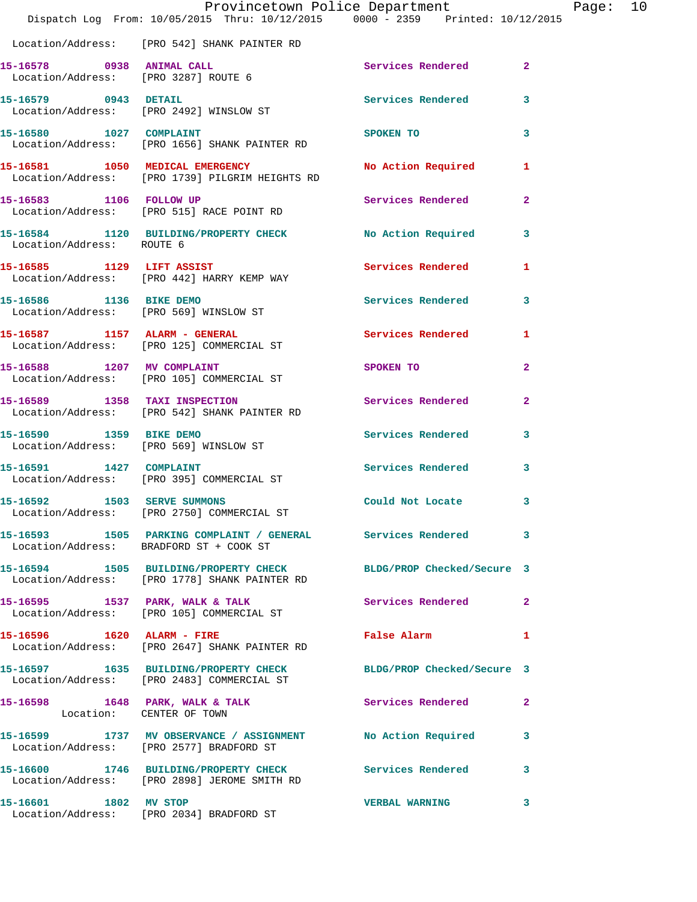|                               | Dispatch Log From: 10/05/2015 Thru: 10/12/2015 0000 - 2359 Printed: 10/12/2015                                    | Provincetown Police Department                      | Page: 10       |
|-------------------------------|-------------------------------------------------------------------------------------------------------------------|-----------------------------------------------------|----------------|
|                               | Location/Address: [PRO 542] SHANK PAINTER RD                                                                      |                                                     |                |
|                               | 15-16578 0938 ANIMAL CALL<br>Location/Address: [PRO 3287] ROUTE 6                                                 | Services Rendered 2                                 |                |
|                               | 15-16579 0943 DETAIL<br>Location/Address: [PRO 2492] WINSLOW ST                                                   | Services Rendered                                   | 3              |
| 15-16580 1027 COMPLAINT       | Location/Address: [PRO 1656] SHANK PAINTER RD                                                                     | SPOKEN TO                                           | 3              |
|                               | 15-16581 1050 MEDICAL EMERGENCY<br>Location/Address: [PRO 1739] PILGRIM HEIGHTS RD                                | No Action Required                                  | $\mathbf{1}$   |
|                               | 15-16583 1106 FOLLOW UP<br>Location/Address: [PRO 515] RACE POINT RD                                              | Services Rendered                                   | $\overline{2}$ |
| Location/Address: ROUTE 6     | 15-16584 1120 BUILDING/PROPERTY CHECK No Action Required 3                                                        |                                                     |                |
|                               | 15-16585 1129 LIFT ASSIST<br>Location/Address: [PRO 442] HARRY KEMP WAY                                           | Services Rendered                                   | 1              |
|                               | 15-16586 1136 BIKE DEMO<br>Location/Address: [PRO 569] WINSLOW ST                                                 | Services Rendered                                   | 3              |
|                               | 15-16587 1157 ALARM - GENERAL<br>Location/Address: [PRO 125] COMMERCIAL ST                                        | <b>Services Rendered</b>                            | 1              |
|                               | 15-16588 1207 MV COMPLAINT<br>Location/Address: [PRO 105] COMMERCIAL ST                                           | SPOKEN TO                                           | $\mathbf{2}$   |
| 15-16589 1358 TAXI INSPECTION | Location/Address: [PRO 542] SHANK PAINTER RD                                                                      | Services Rendered                                   | $\mathbf{2}$   |
| 15-16590 1359 BIKE DEMO       | Location/Address: [PRO 569] WINSLOW ST                                                                            | Services Rendered                                   | 3              |
| 15-16591 1427 COMPLAINT       | Location/Address: [PRO 395] COMMERCIAL ST                                                                         | Services Rendered                                   | 3              |
| 15-16592 1503 SERVE SUMMONS   | Location/Address: [PRO 2750] COMMERCIAL ST                                                                        | Could Not Locate                                    | 3              |
|                               | 15-16593 1505 PARKING COMPLAINT / GENERAL Services Rendered<br>Location/Address: BRADFORD ST + COOK ST            |                                                     | 3              |
|                               | 15-16594 1505 BUILDING/PROPERTY CHECK BLDG/PROP Checked/Secure 3<br>Location/Address: [PRO 1778] SHANK PAINTER RD |                                                     |                |
|                               | 15-16595 1537 PARK, WALK & TALK 1999 Services Rendered<br>Location/Address: [PRO 105] COMMERCIAL ST               |                                                     | $\overline{2}$ |
|                               | Location/Address: [PRO 2647] SHANK PAINTER RD                                                                     | False Alarm <b>Exercise Service Service Service</b> | $\mathbf{1}$   |
|                               | 15-16597 1635 BUILDING/PROPERTY CHECK BLDG/PROP Checked/Secure 3<br>Location/Address: [PRO 2483] COMMERCIAL ST    |                                                     |                |
| Location: CENTER OF TOWN      | 15-16598 1648 PARK, WALK & TALK 1988 Services Rendered                                                            |                                                     | $\overline{2}$ |
|                               | 15-16599 1737 MV OBSERVANCE / ASSIGNMENT No Action Required<br>Location/Address: [PRO 2577] BRADFORD ST           |                                                     | 3              |
|                               | 15-16600 1746 BUILDING/PROPERTY CHECK Services Rendered<br>Location/Address: [PRO 2898] JEROME SMITH RD           |                                                     | $\mathbf{3}$   |
|                               | 15-16601 1802 MV STOP<br>Location/Address: [PRO 2034] BRADFORD ST                                                 | <b>VERBAL WARNING</b>                               | 3              |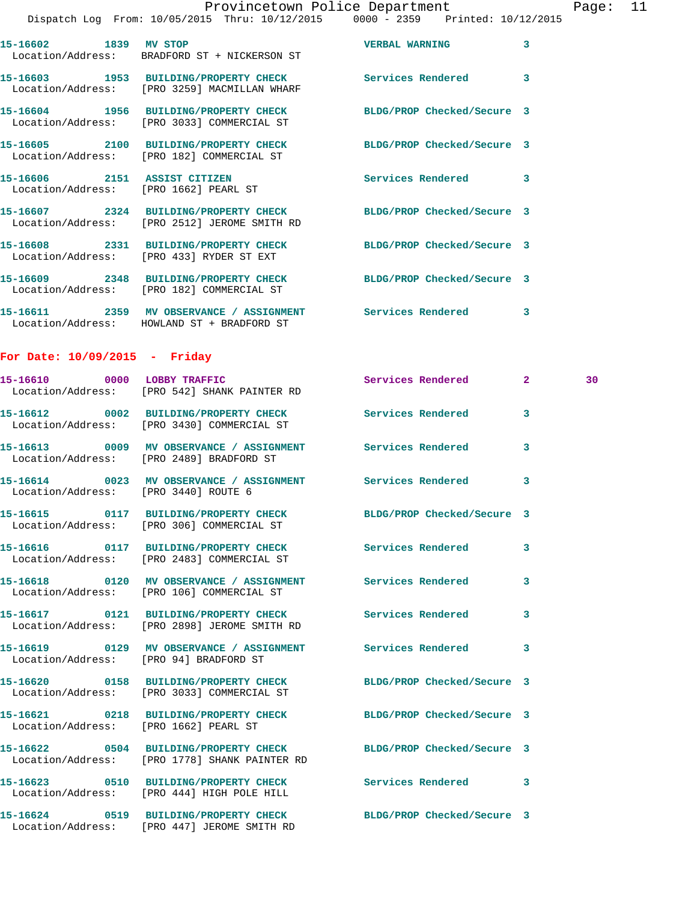Page:  $11$  /2015

|                                 |                                                                                       | Provincetown Police Department<br>Dispatch Log From: 10/05/2015 Thru: 10/12/2015 0000 - 2359 Printed: 10/12/2015 |   | Page |
|---------------------------------|---------------------------------------------------------------------------------------|------------------------------------------------------------------------------------------------------------------|---|------|
|                                 |                                                                                       |                                                                                                                  |   |      |
| 15-16602 1839 MV STOP           | Location/Address: BRADFORD ST + NICKERSON ST                                          | VERBAL WARNING                                                                                                   | 3 |      |
|                                 | Location/Address: [PRO 3259] MACMILLAN WHARF                                          | 15-16603 1953 BUILDING/PROPERTY CHECK Services Rendered 3                                                        |   |      |
|                                 | 15-16604 1956 BUILDING/PROPERTY CHECK<br>Location/Address: [PRO 3033] COMMERCIAL ST   | BLDG/PROP Checked/Secure 3                                                                                       |   |      |
|                                 | Location/Address: [PRO 182] COMMERCIAL ST                                             | 15-16605 2100 BUILDING/PROPERTY CHECK BLDG/PROP Checked/Secure 3                                                 |   |      |
|                                 | 15-16606 2151 ASSIST CITIZEN<br>Location/Address: [PRO 1662] PEARL ST                 | Services Rendered 3                                                                                              |   |      |
|                                 | Location/Address: [PRO 2512] JEROME SMITH RD                                          | 15-16607 2324 BUILDING/PROPERTY CHECK BLDG/PROP Checked/Secure 3                                                 |   |      |
|                                 | Location/Address: [PRO 433] RYDER ST EXT                                              | 15-16608 2331 BUILDING/PROPERTY CHECK BLDG/PROP Checked/Secure 3                                                 |   |      |
|                                 | Location/Address: [PRO 182] COMMERCIAL ST                                             | 15-16609 2348 BUILDING/PROPERTY CHECK BLDG/PROP Checked/Secure 3                                                 |   |      |
|                                 | Location/Address: HOWLAND ST + BRADFORD ST                                            | 15-16611 2359 MV OBSERVANCE / ASSIGNMENT Services Rendered 3                                                     |   |      |
| For Date: $10/09/2015$ - Friday |                                                                                       |                                                                                                                  |   |      |
|                                 | Location/Address: [PRO 542] SHANK PAINTER RD                                          | 15-16610 0000 LOBBY TRAFFIC Services Rendered 2                                                                  |   | 30   |
|                                 | Location/Address: [PRO 3430] COMMERCIAL ST                                            | 15-16612 0002 BUILDING/PROPERTY CHECK Services Rendered                                                          | 3 |      |
|                                 | Location/Address: [PRO 2489] BRADFORD ST                                              | 15-16613 0009 MV OBSERVANCE / ASSIGNMENT Services Rendered                                                       | 3 |      |
|                                 | Location/Address: [PRO 3440] ROUTE 6                                                  | 15-16614 0023 MV OBSERVANCE / ASSIGNMENT Services Rendered 3                                                     |   |      |
|                                 | 15-16615 0117 BUILDING/PROPERTY CHECK<br>Location/Address: [PRO 306] COMMERCIAL ST    | BLDG/PROP Checked/Secure 3                                                                                       |   |      |
|                                 | 15-16616  0117 BUILDING/PROPERTY CHECK<br>Location/Address: [PRO 2483] COMMERCIAL ST  | <b>Services Rendered</b>                                                                                         | 3 |      |
|                                 | Location/Address: [PRO 106] COMMERCIAL ST                                             |                                                                                                                  | 3 |      |
|                                 | 15-16617 0121 BUILDING/PROPERTY CHECK<br>Location/Address: [PRO 2898] JEROME SMITH RD | <b>Services Rendered</b>                                                                                         | 3 |      |
|                                 | Location/Address: [PRO 94] BRADFORD ST                                                | 15-16619      0129   MV OBSERVANCE / ASSIGNMENT      Services Rendered                                           | 3 |      |
|                                 |                                                                                       |                                                                                                                  |   |      |

Location/Address: [PRO 1662] PEARL ST

**15-16620 0158 BUILDING/PROPERTY CHECK BLDG/PROP Checked/Secure 3**  Location/Address: [PRO 3033] COMMERCIAL ST

Location/Address: [PRO 1778] SHANK PAINTER RD

**15-16623 0510 BUILDING/PROPERTY CHECK Services Rendered 3**  Location/Address: [PRO 444] HIGH POLE HILL

**15-16624 0519 BUILDING/PROPERTY CHECK BLDG/PROP Checked/Secure 3**  Location/Address: [PRO 447] JEROME SMITH RD

**15-16621 0218 BUILDING/PROPERTY CHECK BLDG/PROP Checked/Secure 3** 

**15-16622 0504 BUILDING/PROPERTY CHECK BLDG/PROP Checked/Secure 3**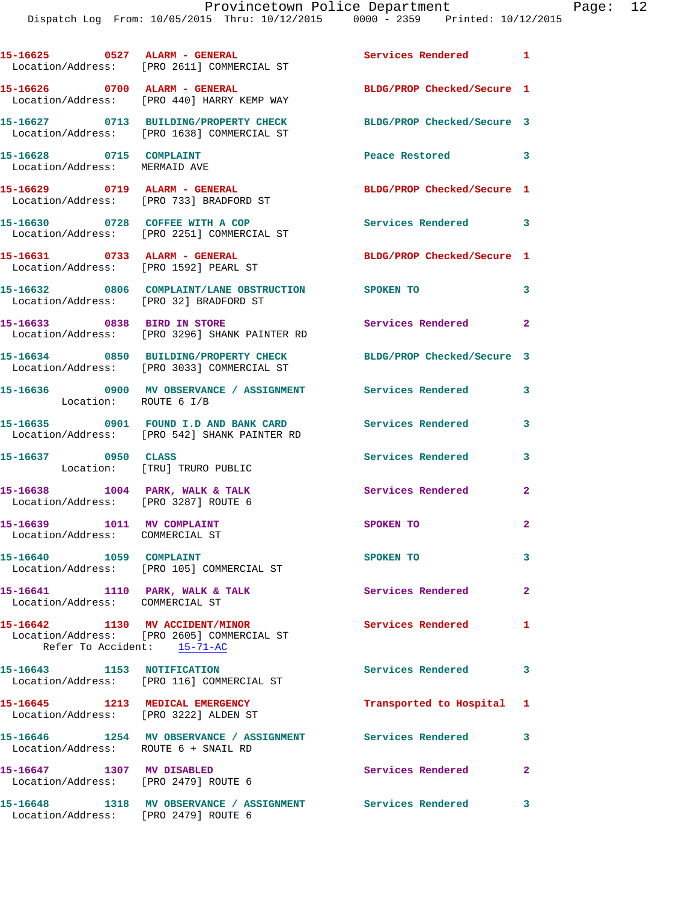Dispatch Log From: 10/05/2015 Thru: 10/12/2015 0000 - 2359 Printed: 10/12/2015

| 15-16625 0527 ALARM - GENERAL                                            | Location/Address: [PRO 2611] COMMERCIAL ST                                                                     | Services Rendered 1        |                         |
|--------------------------------------------------------------------------|----------------------------------------------------------------------------------------------------------------|----------------------------|-------------------------|
|                                                                          | 15-16626 0700 ALARM - GENERAL<br>Location/Address: [PRO 440] HARRY KEMP WAY                                    | BLDG/PROP Checked/Secure 1 |                         |
|                                                                          | 15-16627 0713 BUILDING/PROPERTY CHECK<br>Location/Address: [PRO 1638] COMMERCIAL ST                            | BLDG/PROP Checked/Secure 3 |                         |
| 15-16628 0715 COMPLAINT<br>Location/Address: MERMAID AVE                 |                                                                                                                | Peace Restored 3           |                         |
| 15-16629 0719 ALARM - GENERAL                                            | Location/Address: [PRO 733] BRADFORD ST                                                                        | BLDG/PROP Checked/Secure 1 |                         |
|                                                                          | 15-16630 0728 COFFEE WITH A COP<br>Location/Address: [PRO 2251] COMMERCIAL ST                                  | Services Rendered 3        |                         |
| 15-16631 0733 ALARM - GENERAL<br>Location/Address: [PRO 1592] PEARL ST   |                                                                                                                | BLDG/PROP Checked/Secure 1 |                         |
| Location/Address: [PRO 32] BRADFORD ST                                   | 15-16632 0806 COMPLAINT/LANE OBSTRUCTION SPOKEN TO                                                             |                            | 3                       |
|                                                                          | 15-16633 0838 BIRD IN STORE<br>Location/Address: [PRO 3296] SHANK PAINTER RD                                   | Services Rendered 2        |                         |
|                                                                          | 15-16634 0850 BUILDING/PROPERTY CHECK BLDG/PROP Checked/Secure 3<br>Location/Address: [PRO 3033] COMMERCIAL ST |                            |                         |
| Location: ROUTE 6 I/B                                                    | 15-16636 0900 MV OBSERVANCE / ASSIGNMENT Services Rendered 3                                                   |                            |                         |
|                                                                          | 15-16635 0901 FOUND I.D AND BANK CARD Services Rendered 3<br>Location/Address: [PRO 542] SHANK PAINTER RD      |                            |                         |
| 15-16637 0950 CLASS<br>Location: [TRU] TRURO PUBLIC                      |                                                                                                                | Services Rendered          | 3                       |
| 15-16638 1004 PARK, WALK & TALK<br>Location/Address: [PRO 3287] ROUTE 6  |                                                                                                                | Services Rendered          | $\overline{2}$          |
| 15-16639 1011 MV COMPLAINT<br>Location/Address: COMMERCIAL ST            |                                                                                                                | SPOKEN TO                  | $\mathbf{2}$            |
| 15-16640 1059 COMPLAINT                                                  | Location/Address: [PRO 105] COMMERCIAL ST                                                                      | <b>SPOKEN TO</b>           | $\overline{\mathbf{3}}$ |
| 15-16641 1110 PARK, WALK & TALK<br>Location/Address: COMMERCIAL ST       |                                                                                                                | <b>Services Rendered</b>   | $\overline{\mathbf{2}}$ |
| 15-16642 1130 MV ACCIDENT/MINOR<br>Refer To Accident: 15-71-AC           | Location/Address: [PRO 2605] COMMERCIAL ST                                                                     | Services Rendered 1        |                         |
| 15-16643 1153 NOTIFICATION                                               | Location/Address: [PRO 116] COMMERCIAL ST                                                                      | Services Rendered          | 3                       |
| 15-16645 1213 MEDICAL EMERGENCY<br>Location/Address: [PRO 3222] ALDEN ST |                                                                                                                | Transported to Hospital 1  |                         |
| Location/Address: ROUTE 6 + SNAIL RD                                     | 15-16646 1254 MV OBSERVANCE / ASSIGNMENT Services Rendered                                                     |                            | 3                       |
| 15-16647 1307 MV DISABLED<br>Location/Address: [PRO 2479] ROUTE 6        |                                                                                                                | Services Rendered          | $\mathbf{2}$            |
|                                                                          | 15-16648 1318 MV OBSERVANCE / ASSIGNMENT Services Rendered 3                                                   |                            |                         |

Location/Address: [PRO 2479] ROUTE 6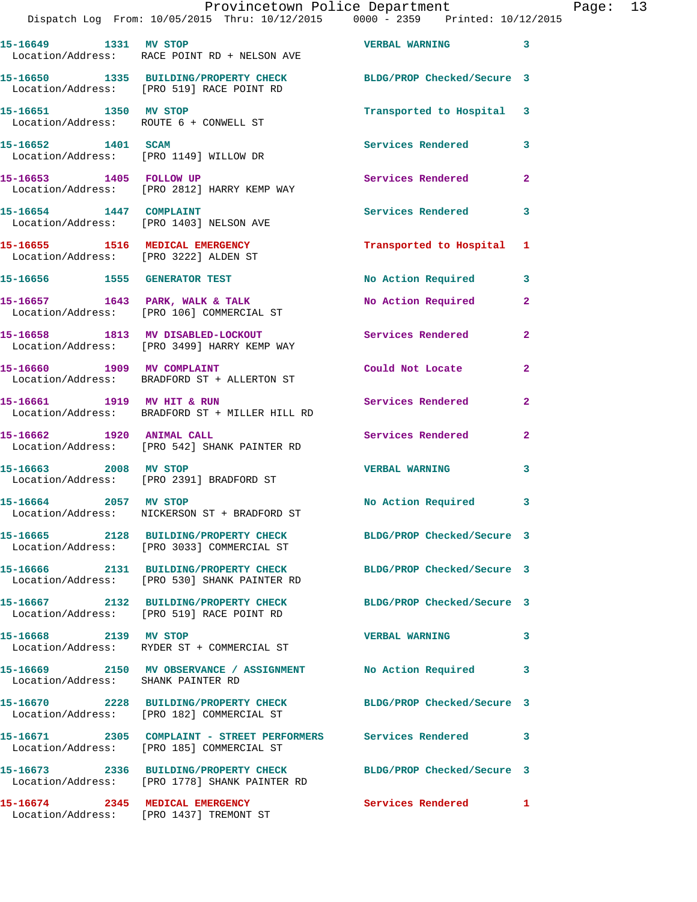|                                                                          | Provincetown Police Department<br>Dispatch Log From: 10/05/2015 Thru: 10/12/2015 0000 - 2359 Printed: 10/12/2015  |                            |                |
|--------------------------------------------------------------------------|-------------------------------------------------------------------------------------------------------------------|----------------------------|----------------|
| 15-16649 1331 MV STOP                                                    | Location/Address: RACE POINT RD + NELSON AVE                                                                      | <b>VERBAL WARNING</b>      | 3              |
|                                                                          | 15-16650 1335 BUILDING/PROPERTY CHECK<br>Location/Address: [PRO 519] RACE POINT RD                                | BLDG/PROP Checked/Secure 3 |                |
| 15-16651 1350 MV STOP<br>Location/Address: ROUTE 6 + CONWELL ST          |                                                                                                                   | Transported to Hospital    | 3              |
| 15-16652 1401 SCAM<br>Location/Address: [PRO 1149] WILLOW DR             |                                                                                                                   | Services Rendered          | 3              |
| 15-16653 1405 FOLLOW UP                                                  | Location/Address: [PRO 2812] HARRY KEMP WAY                                                                       | Services Rendered          | $\mathbf{2}$   |
| 15-16654 1447 COMPLAINT                                                  | Location/Address: [PRO 1403] NELSON AVE                                                                           | Services Rendered          | 3              |
| 15-16655 1516 MEDICAL EMERGENCY<br>Location/Address: [PRO 3222] ALDEN ST |                                                                                                                   | Transported to Hospital    | 1              |
| 15-16656 1555 GENERATOR TEST                                             |                                                                                                                   | No Action Required         | 3              |
|                                                                          | 15-16657 1643 PARK, WALK & TALK<br>Location/Address: [PRO 106] COMMERCIAL ST                                      | No Action Required         | $\mathbf{2}$   |
|                                                                          | 15-16658 1813 MV DISABLED-LOCKOUT<br>Location/Address: [PRO 3499] HARRY KEMP WAY                                  | <b>Services Rendered</b>   | 2              |
| 15-16660 1909 MV COMPLAINT                                               | Location/Address: BRADFORD ST + ALLERTON ST                                                                       | Could Not Locate           | $\overline{a}$ |
| 15-16661 1919 MV HIT & RUN                                               | Location/Address: BRADFORD ST + MILLER HILL RD                                                                    | Services Rendered          | $\mathbf{2}$   |
| 1920 ANIMAL CALL<br>15-16662                                             | Location/Address: [PRO 542] SHANK PAINTER RD                                                                      | Services Rendered          | $\overline{a}$ |
| 15-16663 2008 MV STOP                                                    | Location/Address: [PRO 2391] BRADFORD ST                                                                          | <b>VERBAL WARNING</b>      | 3              |
| 2057 MV STOP<br>15-16664                                                 | Location/Address: NICKERSON ST + BRADFORD ST                                                                      | <b>No Action Required</b>  | 3              |
|                                                                          | 15-16665 2128 BUILDING/PROPERTY CHECK BLDG/PROP Checked/Secure 3<br>Location/Address: [PRO 3033] COMMERCIAL ST    |                            |                |
|                                                                          | 15-16666 2131 BUILDING/PROPERTY CHECK<br>Location/Address: [PRO 530] SHANK PAINTER RD                             | BLDG/PROP Checked/Secure 3 |                |
|                                                                          | 15-16667 2132 BUILDING/PROPERTY CHECK<br>Location/Address: [PRO 519] RACE POINT RD                                | BLDG/PROP Checked/Secure 3 |                |
| 15-16668 2139 MV STOP                                                    | Location/Address: RYDER ST + COMMERCIAL ST                                                                        | <b>VERBAL WARNING</b>      | 3              |
| Location/Address: SHANK PAINTER RD                                       | 15-16669 2150 MV OBSERVANCE / ASSIGNMENT                                                                          | No Action Required         | 3              |
|                                                                          | 15-16670 2228 BUILDING/PROPERTY CHECK BLDG/PROP Checked/Secure 3<br>Location/Address: [PRO 182] COMMERCIAL ST     |                            |                |
|                                                                          | 15-16671 2305 COMPLAINT - STREET PERFORMERS Services Rendered<br>Location/Address: [PRO 185] COMMERCIAL ST        |                            | 3              |
|                                                                          | 15-16673 2336 BUILDING/PROPERTY CHECK BLDG/PROP Checked/Secure 3<br>Location/Address: [PRO 1778] SHANK PAINTER RD |                            |                |
|                                                                          |                                                                                                                   |                            |                |

**15-16674 2345 MEDICAL EMERGENCY Services Rendered 1**  Location/Address: [PRO 1437] TREMONT ST

Page: 13<br>015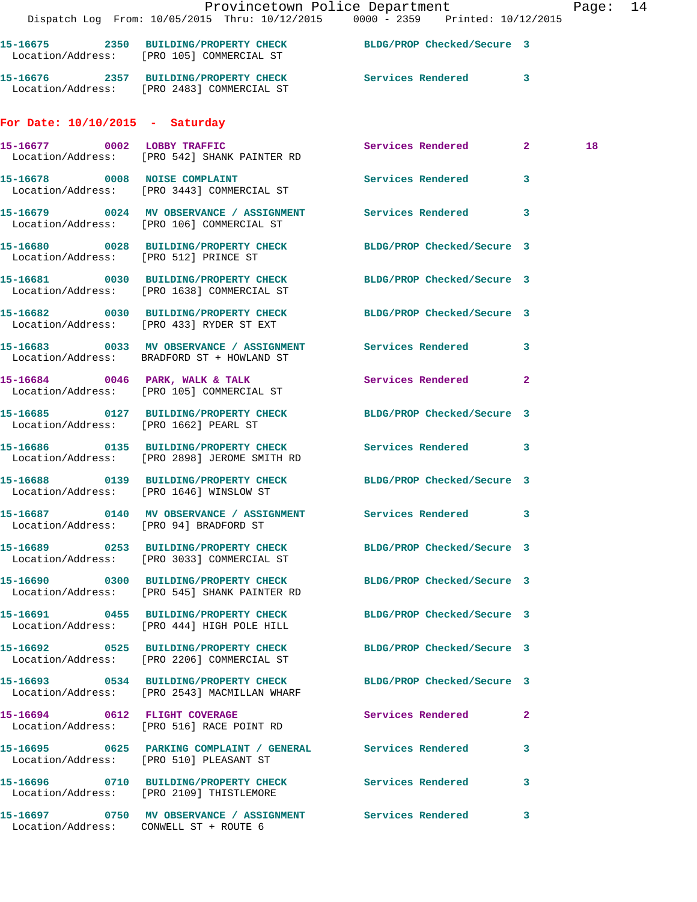|                                        | Provincetown Police Department<br>Dispatch Log From: 10/05/2015 Thru: 10/12/2015 0000 - 2359 Printed: 10/12/2015 |                            |              | Page: 14 |  |
|----------------------------------------|------------------------------------------------------------------------------------------------------------------|----------------------------|--------------|----------|--|
|                                        | 15-16675 2350 BUILDING/PROPERTY CHECK BLDG/PROP Checked/Secure 3<br>Location/Address: [PRO 105] COMMERCIAL ST    |                            |              |          |  |
|                                        | 15-16676 2357 BUILDING/PROPERTY CHECK Services Rendered 3<br>Location/Address: [PRO 2483] COMMERCIAL ST          |                            |              |          |  |
| For Date: $10/10/2015$ - Saturday      |                                                                                                                  |                            |              |          |  |
|                                        | 15-16677 0002 LOBBY TRAFFIC<br>Location/Address: [PRO 542] SHANK PAINTER RD                                      | Services Rendered 2        |              | 18       |  |
|                                        | 15-16678 0008 NOISE COMPLAINT<br>Location/Address: [PRO 3443] COMMERCIAL ST                                      | Services Rendered 3        |              |          |  |
|                                        | 15-16679 0024 MV OBSERVANCE / ASSIGNMENT Services Rendered 3<br>Location/Address: [PRO 106] COMMERCIAL ST        |                            |              |          |  |
| Location/Address: [PRO 512] PRINCE ST  | 15-16680 0028 BUILDING/PROPERTY CHECK BLDG/PROP Checked/Secure 3                                                 |                            |              |          |  |
|                                        | 15-16681 0030 BUILDING/PROPERTY CHECK BLDG/PROP Checked/Secure 3<br>Location/Address: [PRO 1638] COMMERCIAL ST   |                            |              |          |  |
|                                        | 15-16682 0030 BUILDING/PROPERTY CHECK BLDG/PROP Checked/Secure 3<br>Location/Address: [PRO 433] RYDER ST EXT     |                            |              |          |  |
|                                        | 15-16683 0033 MV OBSERVANCE / ASSIGNMENT Services Rendered 3<br>Location/Address: BRADFORD ST + HOWLAND ST       |                            |              |          |  |
|                                        | 15-16684 0046 PARK, WALK & TALK<br>Location/Address: [PRO 105] COMMERCIAL ST                                     | Services Rendered          | $\mathbf{2}$ |          |  |
| Location/Address: [PRO 1662] PEARL ST  | 15-16685 0127 BUILDING/PROPERTY CHECK BLDG/PROP Checked/Secure 3                                                 |                            |              |          |  |
|                                        | 15-16686 0135 BUILDING/PROPERTY CHECK Services Rendered 3<br>Location/Address: [PRO 2898] JEROME SMITH RD        |                            |              |          |  |
|                                        | 15-16688 0139 BUILDING/PROPERTY CHECK BLDG/PROP Checked/Secure 3<br>Location/Address: [PRO 1646] WINSLOW ST      |                            |              |          |  |
| Location/Address: [PRO 94] BRADFORD ST | 15-16687 0140 MV OBSERVANCE / ASSIGNMENT Services Rendered 3                                                     |                            |              |          |  |
|                                        | 15-16689 0253 BUILDING/PROPERTY CHECK BLDG/PROP Checked/Secure 3<br>Location/Address: [PRO 3033] COMMERCIAL ST   |                            |              |          |  |
|                                        | 15-16690 0300 BUILDING/PROPERTY CHECK<br>Location/Address: [PRO 545] SHANK PAINTER RD                            | BLDG/PROP Checked/Secure 3 |              |          |  |
|                                        | 15-16691 0455 BUILDING/PROPERTY CHECK BLDG/PROP Checked/Secure 3<br>Location/Address: [PRO 444] HIGH POLE HILL   |                            |              |          |  |
|                                        | 15-16692 0525 BUILDING/PROPERTY CHECK<br>Location/Address: [PRO 2206] COMMERCIAL ST                              | BLDG/PROP Checked/Secure 3 |              |          |  |
|                                        | 15-16693 0534 BUILDING/PROPERTY CHECK BLDG/PROP Checked/Secure 3<br>Location/Address: [PRO 2543] MACMILLAN WHARF |                            |              |          |  |
|                                        | 15-16694 0612 FLIGHT COVERAGE<br>Location/Address: [PRO 516] RACE POINT RD                                       | Services Rendered          | $\mathbf{2}$ |          |  |
|                                        | 15-16695 0625 PARKING COMPLAINT / GENERAL Services Rendered<br>Location/Address: [PRO 510] PLEASANT ST           |                            | 3            |          |  |
|                                        | 15-16696 0710 BUILDING/PROPERTY CHECK Services Rendered<br>Location/Address: [PRO 2109] THISTLEMORE              |                            | 3            |          |  |
| Location/Address: CONWELL ST + ROUTE 6 | 15-16697 0750 MV OBSERVANCE / ASSIGNMENT Services Rendered                                                       |                            | $\mathbf{3}$ |          |  |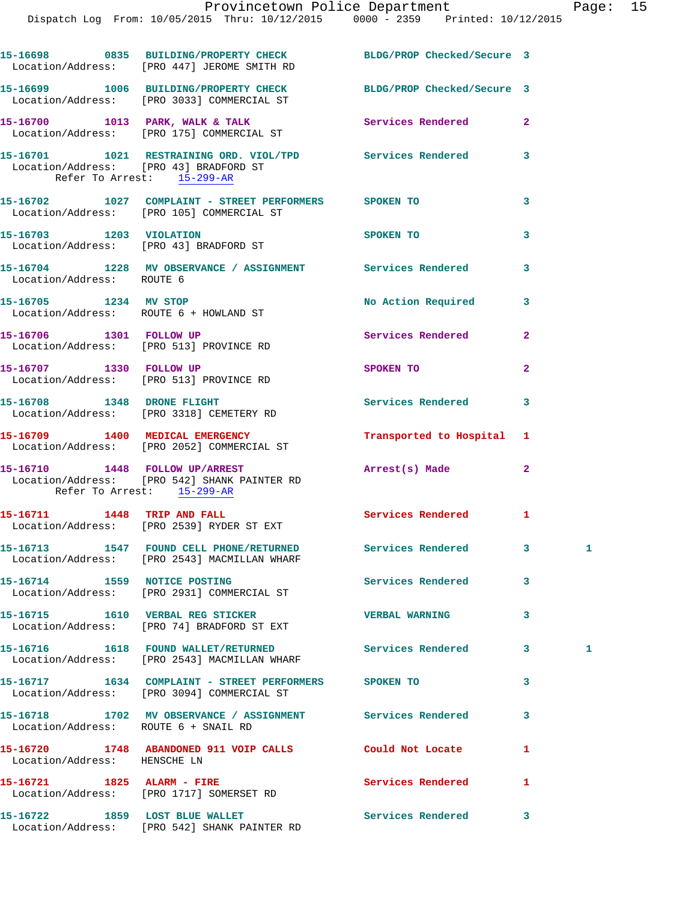Dispatch Log From: 10/05/2015 Thru: 10/12/2015 0000 - 2359 Printed: 10/12/2015

|                                                                      | 15-16698 0835 BUILDING/PROPERTY CHECK<br>Location/Address: [PRO 447] JEROME SMITH RD                           | BLDG/PROP Checked/Secure 3 |                |   |
|----------------------------------------------------------------------|----------------------------------------------------------------------------------------------------------------|----------------------------|----------------|---|
|                                                                      | 15-16699 1006 BUILDING/PROPERTY CHECK BLDG/PROP Checked/Secure 3<br>Location/Address: [PRO 3033] COMMERCIAL ST |                            |                |   |
|                                                                      | 15-16700 1013 PARK, WALK & TALK<br>Location/Address: [PRO 175] COMMERCIAL ST                                   | Services Rendered          | $\overline{a}$ |   |
| Location/Address: [PRO 43] BRADFORD ST<br>Refer To Arrest: 15-299-AR | 15-16701 1021 RESTRAINING ORD. VIOL/TPD Services Rendered                                                      |                            | 3              |   |
|                                                                      | 15-16702 1027 COMPLAINT - STREET PERFORMERS SPOKEN TO<br>Location/Address: [PRO 105] COMMERCIAL ST             |                            | 3              |   |
| 15-16703 1203 VIOLATION                                              | Location/Address: [PRO 43] BRADFORD ST                                                                         | SPOKEN TO                  | 3              |   |
| Location/Address: ROUTE 6                                            | 15-16704 1228 MV OBSERVANCE / ASSIGNMENT Services Rendered                                                     |                            | 3              |   |
| 15-16705 1234 MV STOP                                                | Location/Address: ROUTE 6 + HOWLAND ST                                                                         | No Action Required         | 3              |   |
|                                                                      | 15-16706 1301 FOLLOW UP<br>Location/Address: [PRO 513] PROVINCE RD                                             | Services Rendered          | $\mathbf{2}$   |   |
| 15-16707 1330 FOLLOW UP                                              | Location/Address: [PRO 513] PROVINCE RD                                                                        | SPOKEN TO                  | $\overline{a}$ |   |
|                                                                      | 15-16708 1348 DRONE FLIGHT<br>Location/Address: [PRO 3318] CEMETERY RD                                         | Services Rendered          | 3              |   |
|                                                                      | 15-16709 1400 MEDICAL EMERGENCY<br>Location/Address: [PRO 2052] COMMERCIAL ST                                  | Transported to Hospital    | 1              |   |
| Refer To Arrest: 15-299-AR                                           | 15-16710 1448 FOLLOW UP/ARREST<br>Location/Address: [PRO 542] SHANK PAINTER RD                                 | Arrest(s) Made             | $\mathbf{2}$   |   |
|                                                                      | 15-16711 1448 TRIP AND FALL<br>Location/Address: [PRO 2539] RYDER ST EXT                                       | <b>Services Rendered</b>   | $\mathbf{1}$   |   |
|                                                                      | 15-16713 1547 FOUND CELL PHONE/RETURNED<br>Location/Address: [PRO 2543] MACMILLAN WHARF                        | Services Rendered          | 3              | 1 |
|                                                                      | 15-16714 1559 NOTICE POSTING<br>Location/Address: [PRO 2931] COMMERCIAL ST                                     | Services Rendered          | 3              |   |
|                                                                      | 15-16715 1610 VERBAL REG STICKER<br>Location/Address: [PRO 74] BRADFORD ST EXT                                 | <b>VERBAL WARNING</b>      | 3              |   |
|                                                                      | 15-16716    1618    FOUND WALLET/RETURNED<br>Location/Address: [PRO 2543] MACMILLAN WHARF                      | <b>Services Rendered</b>   | 3              | 1 |
|                                                                      | 15-16717 1634 COMPLAINT - STREET PERFORMERS SPOKEN TO<br>Location/Address: [PRO 3094] COMMERCIAL ST            |                            | 3              |   |
| Location/Address: ROUTE 6 + SNAIL RD                                 | 15-16718 1702 MV OBSERVANCE / ASSIGNMENT Services Rendered                                                     |                            | 3              |   |
| Location/Address: HENSCHE LN                                         | 15-16720 1748 ABANDONED 911 VOIP CALLS Could Not Locate                                                        |                            | 1              |   |
|                                                                      | 15-16721 1825 ALARM - FIRE<br>Location/Address: [PRO 1717] SOMERSET RD                                         | <b>Services Rendered</b>   | 1              |   |
|                                                                      | 15-16722 1859 LOST BLUE WALLET<br>Location/Address: [PRO 542] SHANK PAINTER RD                                 | Services Rendered          | 3              |   |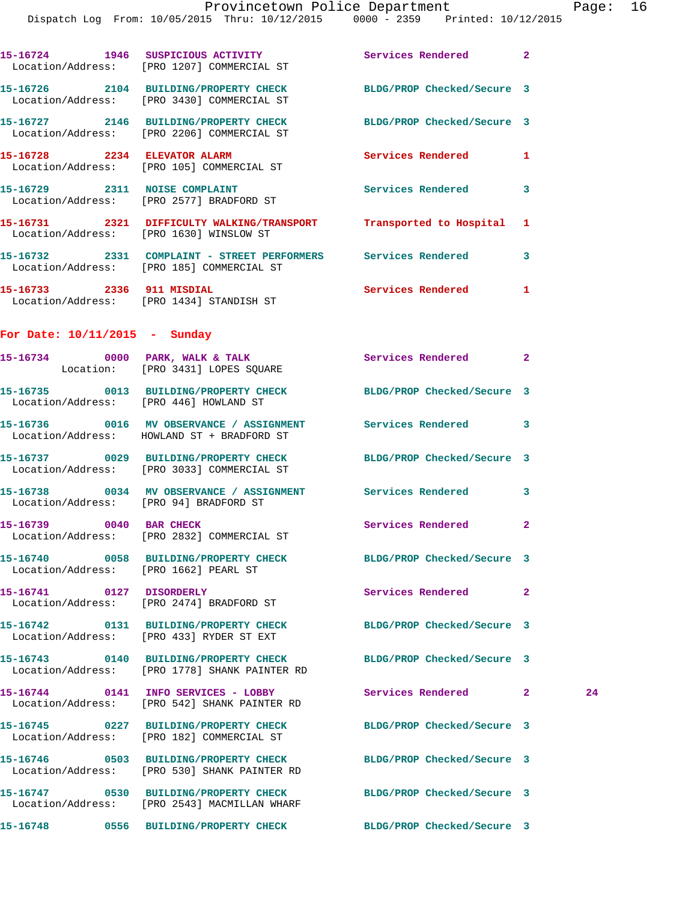|                                 | 15-16724 1946 SUSPICIOUS ACTIVITY 1996 Services Rendered 2<br>Location/Address: [PRO 1207] COMMERCIAL ST          |                            |              |    |
|---------------------------------|-------------------------------------------------------------------------------------------------------------------|----------------------------|--------------|----|
|                                 | 15-16726 2104 BUILDING/PROPERTY CHECK BLDG/PROP Checked/Secure 3<br>Location/Address: [PRO 3430] COMMERCIAL ST    |                            |              |    |
|                                 | 15-16727 2146 BUILDING/PROPERTY CHECK BLDG/PROP Checked/Secure 3<br>Location/Address: [PRO 2206] COMMERCIAL ST    |                            |              |    |
|                                 | 15-16728 2234 ELEVATOR ALARM<br>Location/Address: [PRO 105] COMMERCIAL ST                                         | <b>Services Rendered</b>   | 1            |    |
|                                 | 15-16729 2311 NOISE COMPLAINT<br>Location/Address: [PRO 2577] BRADFORD ST                                         | Services Rendered 3        |              |    |
|                                 | 15-16731 2321 DIFFICULTY WALKING/TRANSPORT Transported to Hospital 1<br>Location/Address: [PRO 1630] WINSLOW ST   |                            |              |    |
|                                 | 15-16732 2331 COMPLAINT - STREET PERFORMERS Services Rendered 3<br>Location/Address: [PRO 185] COMMERCIAL ST      |                            |              |    |
|                                 | 15-16733 2336 911 MISDIAL<br>Location/Address: [PRO 1434] STANDISH ST                                             | Services Rendered 1        |              |    |
| For Date: $10/11/2015$ - Sunday |                                                                                                                   |                            |              |    |
|                                 | 15-16734 0000 PARK, WALK & TALK<br>Location: [PRO 3431] LOPES SQUARE                                              | Services Rendered 2        |              |    |
|                                 | 15-16735 0013 BUILDING/PROPERTY CHECK BLDG/PROP Checked/Secure 3<br>Location/Address: [PRO 446] HOWLAND ST        |                            |              |    |
|                                 | 15-16736 0016 MV OBSERVANCE / ASSIGNMENT Services Rendered 3<br>Location/Address: HOWLAND ST + BRADFORD ST        |                            |              |    |
|                                 | 15-16737 0029 BUILDING/PROPERTY CHECK BLDG/PROP Checked/Secure 3<br>Location/Address: [PRO 3033] COMMERCIAL ST    |                            |              |    |
|                                 | 15-16738 0034 MV OBSERVANCE / ASSIGNMENT Services Rendered 3<br>Location/Address: [PRO 94] BRADFORD ST            |                            |              |    |
|                                 | 15-16739 0040 BAR CHECK<br>Location/Address: [PRO 2832] COMMERCIAL ST                                             | Services Rendered          | $\mathbf{2}$ |    |
|                                 | 15-16740 0058 BUILDING/PROPERTY CHECK<br>Location/Address: [PRO 1662] PEARL ST                                    | BLDG/PROP Checked/Secure 3 |              |    |
| 15-16741 0127 DISORDERLY        | Location/Address: [PRO 2474] BRADFORD ST                                                                          | Services Rendered          | $\mathbf{2}$ |    |
|                                 | 15-16742 0131 BUILDING/PROPERTY CHECK<br>Location/Address: [PRO 433] RYDER ST EXT                                 | BLDG/PROP Checked/Secure 3 |              |    |
|                                 | 15-16743 0140 BUILDING/PROPERTY CHECK BLDG/PROP Checked/Secure 3<br>Location/Address: [PRO 1778] SHANK PAINTER RD |                            |              |    |
|                                 | Location/Address: [PRO 542] SHANK PAINTER RD                                                                      | Services Rendered 2        |              | 24 |
|                                 | 15-16745 0227 BUILDING/PROPERTY CHECK<br>Location/Address: [PRO 182] COMMERCIAL ST                                | BLDG/PROP Checked/Secure 3 |              |    |
|                                 | 15-16746 0503 BUILDING/PROPERTY CHECK<br>Location/Address: [PRO 530] SHANK PAINTER RD                             | BLDG/PROP Checked/Secure 3 |              |    |
|                                 | 15-16747 0530 BUILDING/PROPERTY CHECK<br>Location/Address: [PRO 2543] MACMILLAN WHARF                             | BLDG/PROP Checked/Secure 3 |              |    |
|                                 | 15-16748 0556 BUILDING/PROPERTY CHECK BLDG/PROP Checked/Secure 3                                                  |                            |              |    |
|                                 |                                                                                                                   |                            |              |    |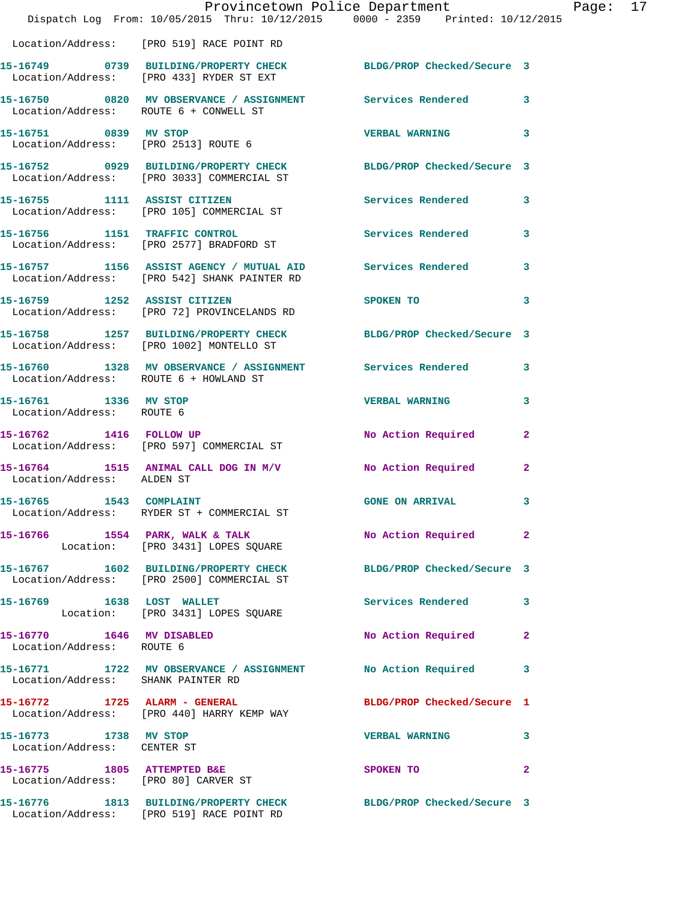|                                                                     | Provincetown Police Department<br>Dispatch Log From: 10/05/2015 Thru: 10/12/2015 0000 - 2359 Printed: 10/12/2015 |                            |              |
|---------------------------------------------------------------------|------------------------------------------------------------------------------------------------------------------|----------------------------|--------------|
|                                                                     | Location/Address: [PRO 519] RACE POINT RD                                                                        |                            |              |
|                                                                     | 15-16749 0739 BUILDING/PROPERTY CHECK BLDG/PROP Checked/Secure 3<br>Location/Address: [PRO 433] RYDER ST EXT     |                            |              |
| Location/Address: ROUTE 6 + CONWELL ST                              | 15-16750 0820 MV OBSERVANCE / ASSIGNMENT Services Rendered                                                       |                            | 3            |
| 15-16751 0839 MV STOP<br>Location/Address: [PRO 2513] ROUTE 6       |                                                                                                                  | <b>VERBAL WARNING</b>      | 3            |
|                                                                     | 15-16752 0929 BUILDING/PROPERTY CHECK<br>Location/Address: [PRO 3033] COMMERCIAL ST                              | BLDG/PROP Checked/Secure 3 |              |
| 15-16755 1111 ASSIST CITIZEN                                        | Location/Address: [PRO 105] COMMERCIAL ST                                                                        | Services Rendered          | 3            |
|                                                                     | 15-16756 1151 TRAFFIC CONTROL<br>Location/Address: [PRO 2577] BRADFORD ST                                        | <b>Services Rendered</b>   | 3            |
|                                                                     | 15-16757 1156 ASSIST AGENCY / MUTUAL AID Services Rendered<br>Location/Address: [PRO 542] SHANK PAINTER RD       |                            | 3            |
| 15-16759 1252 ASSIST CITIZEN                                        | Location/Address: [PRO 72] PROVINCELANDS RD                                                                      | SPOKEN TO                  | 3            |
|                                                                     | 15-16758 1257 BUILDING/PROPERTY CHECK BLDG/PROP Checked/Secure 3<br>Location/Address: [PRO 1002] MONTELLO ST     |                            |              |
| Location/Address: ROUTE 6 + HOWLAND ST                              | 15-16760 1328 MV OBSERVANCE / ASSIGNMENT Services Rendered                                                       |                            | 3            |
| 15-16761 1336 MV STOP<br>Location/Address: ROUTE 6                  |                                                                                                                  | <b>VERBAL WARNING</b>      | 3            |
| 15-16762 1416 FOLLOW UP                                             | Location/Address: [PRO 597] COMMERCIAL ST                                                                        | No Action Required         | $\mathbf{2}$ |
| Location/Address: ALDEN ST                                          | 15-16764 1515 ANIMAL CALL DOG IN M/V                                                                             | No Action Required         | 2            |
| 1543 COMPLAINT<br>15-16765                                          | Location/Address: RYDER ST + COMMERCIAL ST                                                                       | <b>GONE ON ARRIVAL</b>     | 3            |
|                                                                     | 15-16766 1554 PARK, WALK & TALK<br>Location: [PRO 3431] LOPES SQUARE                                             | No Action Required         | $\mathbf{2}$ |
|                                                                     | 15-16767 1602 BUILDING/PROPERTY CHECK<br>Location/Address: [PRO 2500] COMMERCIAL ST                              | BLDG/PROP Checked/Secure 3 |              |
|                                                                     | 15-16769 1638 LOST WALLET<br>Location: [PRO 3431] LOPES SQUARE                                                   | Services Rendered          | 3            |
| 15-16770 1646 MV DISABLED<br>Location/Address: ROUTE 6              |                                                                                                                  | No Action Required         | $\mathbf{2}$ |
| Location/Address: SHANK PAINTER RD                                  | 15-16771 1722 MV OBSERVANCE / ASSIGNMENT No Action Required                                                      |                            | 3            |
|                                                                     | 15-16772 1725 ALARM - GENERAL<br>Location/Address: [PRO 440] HARRY KEMP WAY                                      | BLDG/PROP Checked/Secure 1 |              |
| 15-16773 1738 MV STOP<br>Location/Address: CENTER ST                |                                                                                                                  | <b>VERBAL WARNING</b>      | 3            |
| 15-16775 1805 ATTEMPTED B&E<br>Location/Address: [PRO 80] CARVER ST |                                                                                                                  | SPOKEN TO                  | $\mathbf{2}$ |
|                                                                     | 15-16776 1813 BUILDING/PROPERTY CHECK BLDG/PROP Checked/Secure 3<br>Location/Address: [PRO 519] RACE POINT RD    |                            |              |

Page: 17<br>015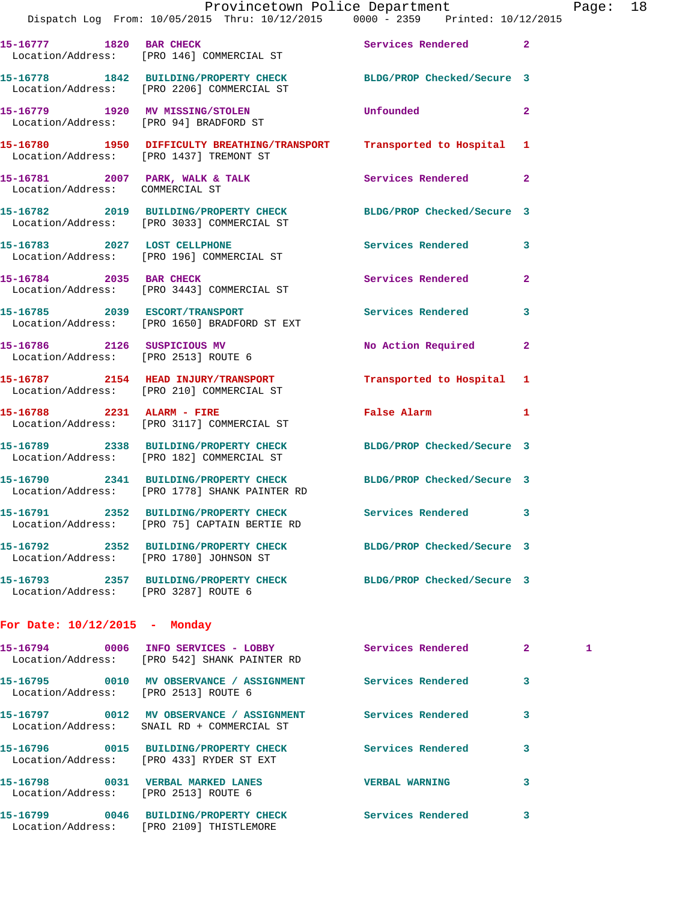| 15-16777 1820 BAR CHECK                                             | Location/Address: [PRO 146] COMMERCIAL ST                                               | Services Rendered 2        |                |
|---------------------------------------------------------------------|-----------------------------------------------------------------------------------------|----------------------------|----------------|
|                                                                     | 15-16778 1842 BUILDING/PROPERTY CHECK<br>Location/Address: [PRO 2206] COMMERCIAL ST     | BLDG/PROP Checked/Secure 3 |                |
| 15-16779 1920 MV MISSING/STOLEN                                     | Location/Address: [PRO 94] BRADFORD ST                                                  | Unfounded                  | $\overline{2}$ |
|                                                                     | 15-16780 1950 DIFFICULTY BREATHING/TRANSPORT<br>Location/Address: [PRO 1437] TREMONT ST | Transported to Hospital 1  |                |
| Location/Address: COMMERCIAL ST                                     | 15-16781 2007 PARK, WALK & TALK                                                         | Services Rendered 2        |                |
|                                                                     | 15-16782 2019 BUILDING/PROPERTY CHECK<br>Location/Address: [PRO 3033] COMMERCIAL ST     | BLDG/PROP Checked/Secure 3 |                |
|                                                                     | 15-16783 2027 LOST CELLPHONE<br>Location/Address: [PRO 196] COMMERCIAL ST               | Services Rendered          | 3              |
| 15-16784 2035 BAR CHECK                                             | Location/Address: [PRO 3443] COMMERCIAL ST                                              | Services Rendered          | $\overline{2}$ |
| 15-16785 2039 ESCORT/TRANSPORT                                      | Location/Address: [PRO 1650] BRADFORD ST EXT                                            | Services Rendered          | 3              |
| 15-16786 2126 SUSPICIOUS MV<br>Location/Address: [PRO 2513] ROUTE 6 |                                                                                         | No Action Required         | $\overline{2}$ |
|                                                                     | 15-16787 2154 HEAD INJURY/TRANSPORT<br>Location/Address: [PRO 210] COMMERCIAL ST        | Transported to Hospital 1  |                |
| 15-16788 2231 ALARM - FIRE                                          | Location/Address: [PRO 3117] COMMERCIAL ST                                              | <b>False Alarm</b>         | $\mathbf{1}$   |
|                                                                     | 15-16789 2338 BUILDING/PROPERTY CHECK<br>Location/Address: [PRO 182] COMMERCIAL ST      | BLDG/PROP Checked/Secure 3 |                |
|                                                                     | 15-16790 2341 BUILDING/PROPERTY CHECK<br>Location/Address: [PRO 1778] SHANK PAINTER RD  | BLDG/PROP Checked/Secure 3 |                |
| 15-16791                                                            | 2352 BUILDING/PROPERTY CHECK<br>Location/Address: [PRO 75] CAPTAIN BERTIE RD            | Services Rendered 3        |                |
|                                                                     | 15-16792 2352 BUILDING/PROPERTY CHECK<br>Location/Address: [PRO 1780] JOHNSON ST        | BLDG/PROP Checked/Secure 3 |                |
| Location/Address: [PRO 3287] ROUTE 6                                | 15-16793 2357 BUILDING/PROPERTY CHECK                                                   | BLDG/PROP Checked/Secure 3 |                |

## **For Date: 10/12/2015 - Monday**

| 15-16794 0006                                         | INFO SERVICES - LOBBY<br>Location/Address: [PRO 542] SHANK PAINTER RD | Services Rendered     | $\overline{2}$ |  |
|-------------------------------------------------------|-----------------------------------------------------------------------|-----------------------|----------------|--|
| 15-16795 0010<br>Location/Address: [PRO 2513] ROUTE 6 | MV OBSERVANCE / ASSIGNMENT                                            | Services Rendered     | 3              |  |
|                                                       | Location/Address: SNAIL RD + COMMERCIAL ST                            | Services Rendered     | 3              |  |
|                                                       | Location/Address: [PRO 433] RYDER ST EXT                              | Services Rendered     | 3              |  |
| Location/Address: [PRO 2513] ROUTE 6                  |                                                                       | <b>VERBAL WARNING</b> | 3              |  |
|                                                       | Location/Address: [PRO 2109] THISTLEMORE                              | Services Rendered     | 3              |  |